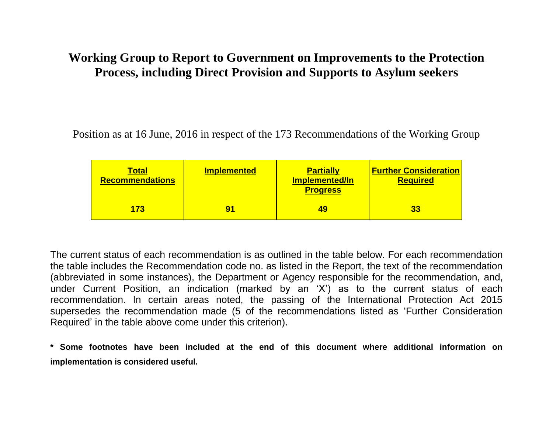## **Working Group to Report to Government on Improvements to the Protection Process, including Direct Provision and Supports to Asylum seekers**

Position as at 16 June, 2016 in respect of the 173 Recommendations of the Working Group

| <u>Total</u><br><b>Recommendations</b> | <b>Implemented</b> | <b>Partially</b><br>Implemented/In<br><b>Progress</b> | <b>Further Consideration</b><br><b>Required</b> |
|----------------------------------------|--------------------|-------------------------------------------------------|-------------------------------------------------|
| 173                                    | 91                 | 49                                                    | 33                                              |

The current status of each recommendation is as outlined in the table below. For each recommendation the table includes the Recommendation code no. as listed in the Report, the text of the recommendation (abbreviated in some instances), the Department or Agency responsible for the recommendation, and, under Current Position, an indication (marked by an 'X') as to the current status of each recommendation. In certain areas noted, the passing of the International Protection Act 2015 supersedes the recommendation made (5 of the recommendations listed as 'Further Consideration Required' in the table above come under this criterion).

**\* Some footnotes have been included at the end of this document where additional information on implementation is considered useful.**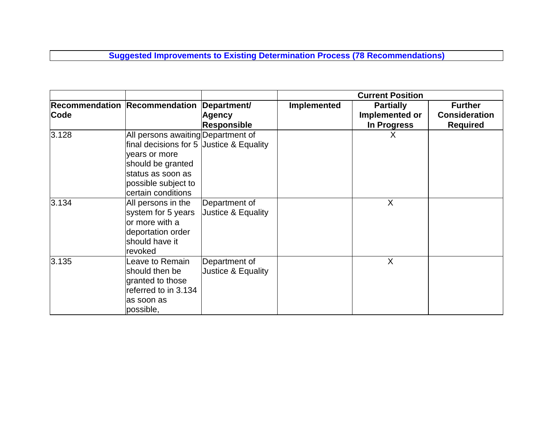**Suggested Improvements to Existing Determination Process (78 Recommendations)**

|       |                                                                                                                                                                     |                                     | <b>Current Position</b> |                                    |                                        |
|-------|---------------------------------------------------------------------------------------------------------------------------------------------------------------------|-------------------------------------|-------------------------|------------------------------------|----------------------------------------|
| Code  | Recommendation Recommendation Department/                                                                                                                           | <b>Agency</b>                       | <b>Implemented</b>      | <b>Partially</b><br>Implemented or | <b>Further</b><br><b>Consideration</b> |
|       |                                                                                                                                                                     | <b>Responsible</b>                  |                         | In Progress                        | <b>Required</b>                        |
| 3.128 | All persons awaiting Department of<br>final decisions for 5 Justice $\&$ Equality<br>years or more<br>should be granted<br>status as soon as<br>possible subject to |                                     |                         | X                                  |                                        |
|       | certain conditions                                                                                                                                                  |                                     |                         |                                    |                                        |
| 3.134 | All persons in the<br>system for 5 years<br>or more with a<br>deportation order<br>should have it<br>revoked                                                        | Department of<br>Justice & Equality |                         | X                                  |                                        |
| 3.135 | Leave to Remain<br>should then be<br>granted to those<br>referred to in 3.134<br>as soon as<br>possible,                                                            | Department of<br>Justice & Equality |                         | X                                  |                                        |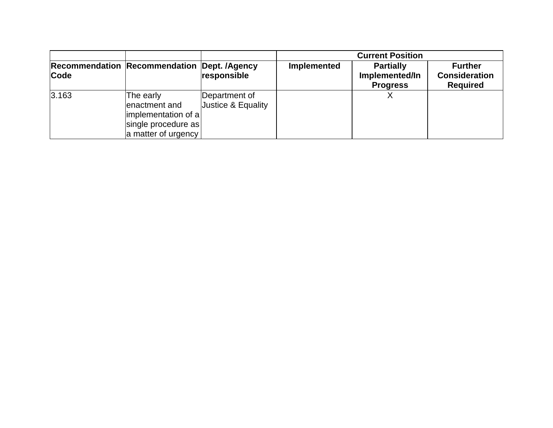|       |                                                                                                    |                                     |             | <b>Current Position</b>                               |                                                           |
|-------|----------------------------------------------------------------------------------------------------|-------------------------------------|-------------|-------------------------------------------------------|-----------------------------------------------------------|
| Code  | <b>Recommendation Recommendation Dept. /Agency</b>                                                 | responsible                         | Implemented | <b>Partially</b><br>Implemented/In<br><b>Progress</b> | <b>Further</b><br><b>Consideration</b><br><b>Required</b> |
| 3.163 | The early<br>enactment and<br>$ implementation$ of a<br>single procedure as<br>a matter of urgency | Department of<br>Justice & Equality |             |                                                       |                                                           |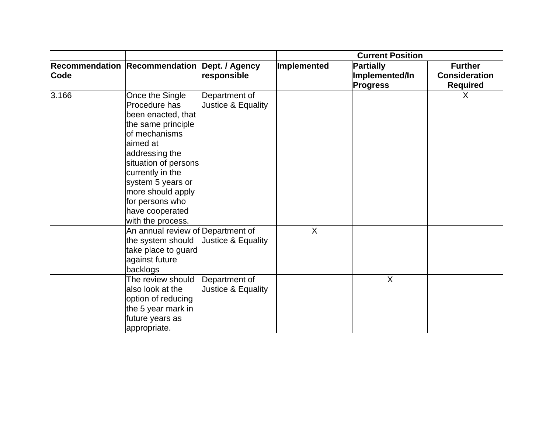|       |                                                                                                                                                                                                                                                                              |                                     | <b>Current Position</b> |                                                       |                                                           |
|-------|------------------------------------------------------------------------------------------------------------------------------------------------------------------------------------------------------------------------------------------------------------------------------|-------------------------------------|-------------------------|-------------------------------------------------------|-----------------------------------------------------------|
| Code  | Recommendation Recommendation Dept. / Agency                                                                                                                                                                                                                                 | responsible                         | Implemented             | <b>Partially</b><br>Implemented/In<br><b>Progress</b> | <b>Further</b><br><b>Consideration</b><br><b>Required</b> |
| 3.166 | Once the Single<br>Procedure has<br>been enacted, that<br>the same principle<br>of mechanisms<br>aimed at<br>addressing the<br>situation of persons<br>currently in the<br>system 5 years or<br>more should apply<br>for persons who<br>have cooperated<br>with the process. | Department of<br>Justice & Equality |                         |                                                       | X                                                         |
|       | An annual review of Department of<br>the system should<br>take place to guard<br>against future<br>backlogs                                                                                                                                                                  | Justice & Equality                  | $\overline{\mathsf{x}}$ |                                                       |                                                           |
|       | The review should<br>also look at the<br>option of reducing<br>the 5 year mark in<br>future years as<br>appropriate.                                                                                                                                                         | Department of<br>Justice & Equality |                         | X                                                     |                                                           |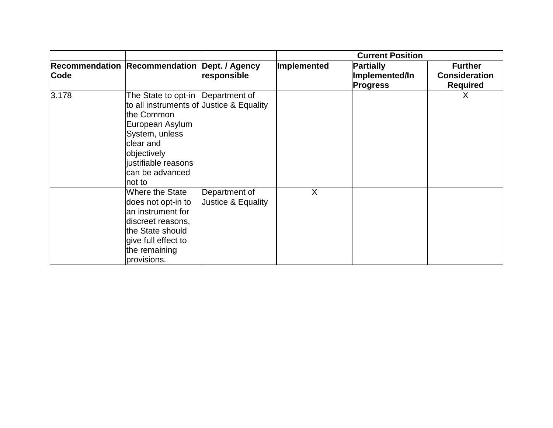|       |                                                                                                                                                                                                                   |                                     | <b>Current Position</b> |                                                |                                                           |
|-------|-------------------------------------------------------------------------------------------------------------------------------------------------------------------------------------------------------------------|-------------------------------------|-------------------------|------------------------------------------------|-----------------------------------------------------------|
| Code  | Recommendation Recommendation Dept. / Agency                                                                                                                                                                      | responsible                         | Implemented             | Partially<br>Implemented/In<br><b>Progress</b> | <b>Further</b><br><b>Consideration</b><br><b>Required</b> |
| 3.178 | The State to opt-in  Department of<br>to all instruments of Justice & Equality<br>the Common<br>European Asylum<br>System, unless<br>clear and<br>objectively<br>justifiable reasons<br>can be advanced<br>not to |                                     |                         |                                                | X                                                         |
|       | Where the State<br>does not opt-in to<br>an instrument for<br>discreet reasons,<br>the State should<br>give full effect to<br>the remaining<br>provisions.                                                        | Department of<br>Justice & Equality | X                       |                                                |                                                           |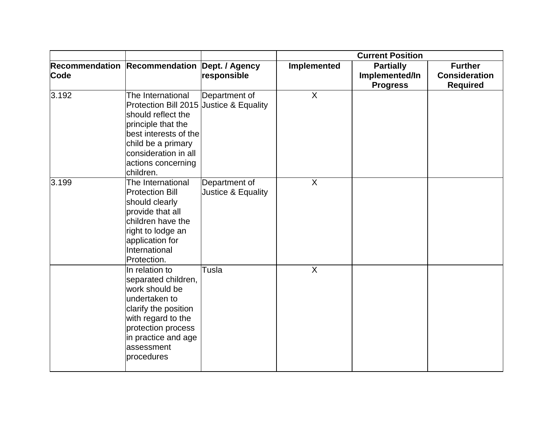|       |                                                                                                                                                                                                                    |                                     | <b>Current Position</b> |                                                       |                                                           |
|-------|--------------------------------------------------------------------------------------------------------------------------------------------------------------------------------------------------------------------|-------------------------------------|-------------------------|-------------------------------------------------------|-----------------------------------------------------------|
| Code  | Recommendation Recommendation Dept. / Agency                                                                                                                                                                       | responsible                         | Implemented             | <b>Partially</b><br>Implemented/In<br><b>Progress</b> | <b>Further</b><br><b>Consideration</b><br><b>Required</b> |
| 3.192 | The International<br>Protection Bill 2015 Justice & Equality<br>should reflect the<br>principle that the<br>best interests of the<br>child be a primary<br>consideration in all<br>actions concerning<br>children. | Department of                       | $\sf X$                 |                                                       |                                                           |
| 3.199 | The International<br><b>Protection Bill</b><br>should clearly<br>provide that all<br>children have the<br>right to lodge an<br>application for<br>International<br>Protection.                                     | Department of<br>Justice & Equality | $\overline{X}$          |                                                       |                                                           |
|       | In relation to<br>separated children,<br>work should be<br>undertaken to<br>clarify the position<br>with regard to the<br>protection process<br>in practice and age<br>assessment<br>procedures                    | Tusla                               | $\sf X$                 |                                                       |                                                           |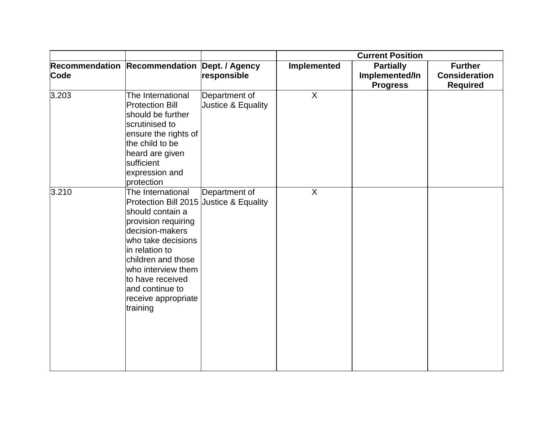|       |                                                                                                                                                                                                                                                                                          |                                     | <b>Current Position</b> |                                                       |                                                           |
|-------|------------------------------------------------------------------------------------------------------------------------------------------------------------------------------------------------------------------------------------------------------------------------------------------|-------------------------------------|-------------------------|-------------------------------------------------------|-----------------------------------------------------------|
| Code  | Recommendation Recommendation Dept. / Agency                                                                                                                                                                                                                                             | responsible                         | Implemented             | <b>Partially</b><br>Implemented/In<br><b>Progress</b> | <b>Further</b><br><b>Consideration</b><br><b>Required</b> |
| 3.203 | The International<br><b>Protection Bill</b><br>should be further<br>scrutinised to<br>ensure the rights of<br>the child to be<br>heard are given<br>sufficient<br>expression and<br>protection                                                                                           | Department of<br>Justice & Equality | $\overline{X}$          |                                                       |                                                           |
| 3.210 | The International<br>Protection Bill 2015 Justice & Equality<br>should contain a<br>provision requiring<br>decision-makers<br>who take decisions<br>in relation to<br>children and those<br>who interview them<br>to have received<br>and continue to<br>receive appropriate<br>training | Department of                       | $\mathsf{X}$            |                                                       |                                                           |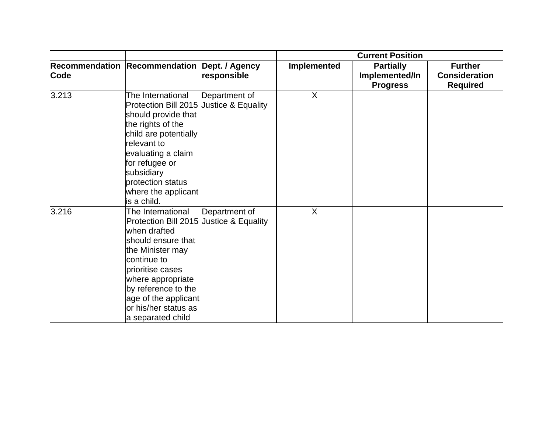|       |                                                                                                                                                                                                                                                                            |               | <b>Current Position</b> |                                                       |                                                           |
|-------|----------------------------------------------------------------------------------------------------------------------------------------------------------------------------------------------------------------------------------------------------------------------------|---------------|-------------------------|-------------------------------------------------------|-----------------------------------------------------------|
| Code  | Recommendation Recommendation Dept. / Agency                                                                                                                                                                                                                               | responsible   | Implemented             | <b>Partially</b><br>Implemented/In<br><b>Progress</b> | <b>Further</b><br><b>Consideration</b><br><b>Required</b> |
| 3.213 | The International<br>Protection Bill 2015 Uustice & Equality<br>should provide that<br>the rights of the<br>child are potentially<br>relevant to<br>evaluating a claim<br>for refugee or<br>subsidiary<br>protection status<br>where the applicant<br>is a child.          | Department of | X                       |                                                       |                                                           |
| 3.216 | The International<br>Protection Bill 2015 Justice & Equality<br>when drafted<br>should ensure that<br>the Minister may<br>continue to<br>prioritise cases<br>where appropriate<br>by reference to the<br>age of the applicant<br>or his/her status as<br>a separated child | Department of | X                       |                                                       |                                                           |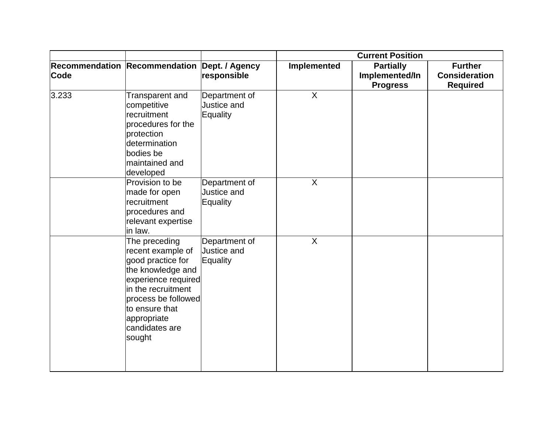|             |                                                                                                                                                                                                               |                                          | <b>Current Position</b> |                                                       |                                                           |
|-------------|---------------------------------------------------------------------------------------------------------------------------------------------------------------------------------------------------------------|------------------------------------------|-------------------------|-------------------------------------------------------|-----------------------------------------------------------|
| <b>Code</b> | Recommendation Recommendation Dept. / Agency                                                                                                                                                                  | responsible                              | Implemented             | <b>Partially</b><br>Implemented/In<br><b>Progress</b> | <b>Further</b><br><b>Consideration</b><br><b>Required</b> |
| 3.233       | Transparent and<br>competitive<br>recruitment<br>procedures for the<br>protection<br>determination<br>bodies be<br>maintained and<br>developed                                                                | Department of<br>Justice and<br>Equality | $\sf X$                 |                                                       |                                                           |
|             | Provision to be<br>made for open<br>recruitment<br>procedures and<br>relevant expertise<br>in law.                                                                                                            | Department of<br>Justice and<br>Equality | $\overline{X}$          |                                                       |                                                           |
|             | The preceding<br>recent example of<br>good practice for<br>the knowledge and<br>experience required<br>in the recruitment<br>process be followed<br>to ensure that<br>appropriate<br>candidates are<br>sought | Department of<br>Justice and<br>Equality | $\sf X$                 |                                                       |                                                           |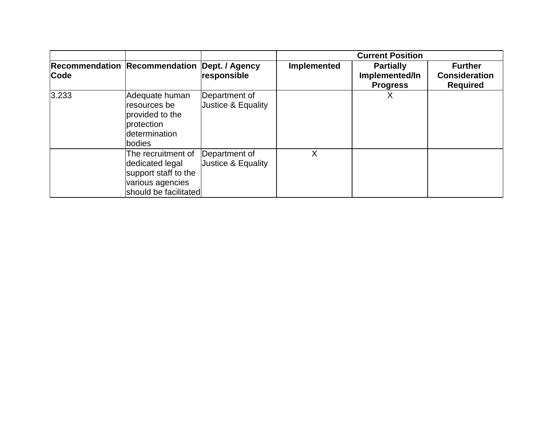|       |                                                                                                            |                                     | <b>Current Position</b> |                                                       |                                                           |
|-------|------------------------------------------------------------------------------------------------------------|-------------------------------------|-------------------------|-------------------------------------------------------|-----------------------------------------------------------|
| Code  | Recommendation Recommendation Dept. / Agency                                                               | responsible                         | <b>Implemented</b>      | <b>Partially</b><br>Implemented/In<br><b>Progress</b> | <b>Further</b><br><b>Consideration</b><br><b>Required</b> |
| 3.233 | Adequate human<br>resources be<br>provided to the<br>protection<br>determination<br>bodies                 | Department of<br>Justice & Equality |                         |                                                       |                                                           |
|       | The recruitment of<br>dedicated legal<br>support staff to the<br>various agencies<br>should be facilitated | Department of<br>Justice & Equality | X                       |                                                       |                                                           |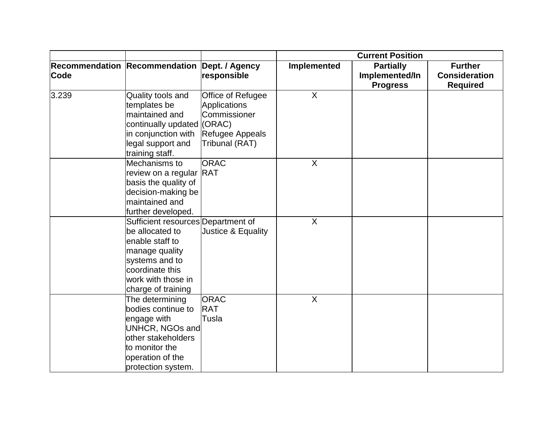|       |                                                                                                                                                                             |                                                                                                         | <b>Current Position</b> |                                                       |                                                           |
|-------|-----------------------------------------------------------------------------------------------------------------------------------------------------------------------------|---------------------------------------------------------------------------------------------------------|-------------------------|-------------------------------------------------------|-----------------------------------------------------------|
| Code  | Recommendation Recommendation Dept. / Agency                                                                                                                                | responsible                                                                                             | Implemented             | <b>Partially</b><br>Implemented/In<br><b>Progress</b> | <b>Further</b><br><b>Consideration</b><br><b>Required</b> |
| 3.239 | Quality tools and<br>templates be<br>maintained and<br>continually updated<br>in conjunction with<br>legal support and<br>training staff.                                   | Office of Refugee<br><b>Applications</b><br>Commissioner<br>(ORAC)<br>Refugee Appeals<br>Tribunal (RAT) | X                       |                                                       |                                                           |
|       | Mechanisms to<br>review on a regular RAT<br>basis the quality of<br>decision-making be<br>maintained and<br>further developed.                                              | <b>ORAC</b>                                                                                             | $\sf X$                 |                                                       |                                                           |
|       | Sufficient resources Department of<br>be allocated to<br>enable staff to<br>manage quality<br>systems and to<br>coordinate this<br>work with those in<br>charge of training | Justice & Equality                                                                                      | $\overline{X}$          |                                                       |                                                           |
|       | The determining<br>bodies continue to<br>engage with<br>UNHCR, NGOs and<br>other stakeholders<br>to monitor the<br>operation of the<br>protection system.                   | <b>ORAC</b><br><b>RAT</b><br>Tusla                                                                      | $\sf X$                 |                                                       |                                                           |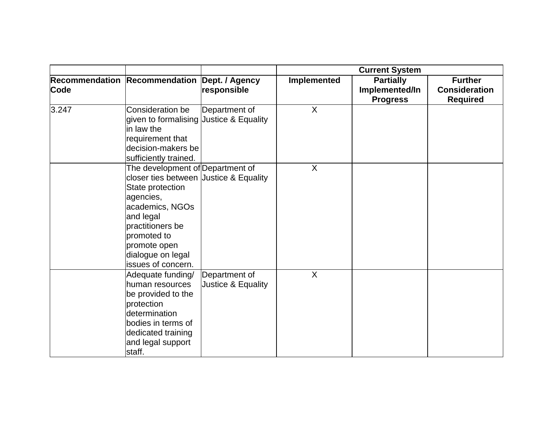|       |                                         |                    | <b>Current System</b> |                  |                      |
|-------|-----------------------------------------|--------------------|-----------------------|------------------|----------------------|
|       | <b>Recommendation Recommendation</b>    | Dept. / Agency     | Implemented           | <b>Partially</b> | <b>Further</b>       |
| Code  |                                         | responsible        |                       | Implemented/In   | <b>Consideration</b> |
|       |                                         |                    |                       | <b>Progress</b>  | <b>Required</b>      |
| 3.247 | Consideration be                        | Department of      | X                     |                  |                      |
|       | given to formalising Justice & Equality |                    |                       |                  |                      |
|       | in law the                              |                    |                       |                  |                      |
|       | requirement that                        |                    |                       |                  |                      |
|       | decision-makers be                      |                    |                       |                  |                      |
|       | sufficiently trained.                   |                    |                       |                  |                      |
|       | The development of Department of        |                    | $\sf X$               |                  |                      |
|       | closer ties between Justice & Equality  |                    |                       |                  |                      |
|       | State protection                        |                    |                       |                  |                      |
|       | agencies,                               |                    |                       |                  |                      |
|       | academics, NGOs                         |                    |                       |                  |                      |
|       | and legal                               |                    |                       |                  |                      |
|       | practitioners be                        |                    |                       |                  |                      |
|       | promoted to                             |                    |                       |                  |                      |
|       | promote open                            |                    |                       |                  |                      |
|       | dialogue on legal                       |                    |                       |                  |                      |
|       | issues of concern.                      |                    |                       |                  |                      |
|       | Adequate funding/                       | Department of      | $\sf X$               |                  |                      |
|       | human resources                         | Justice & Equality |                       |                  |                      |
|       | be provided to the                      |                    |                       |                  |                      |
|       | protection                              |                    |                       |                  |                      |
|       | determination                           |                    |                       |                  |                      |
|       | bodies in terms of                      |                    |                       |                  |                      |
|       | dedicated training                      |                    |                       |                  |                      |
|       | and legal support                       |                    |                       |                  |                      |
|       | staff.                                  |                    |                       |                  |                      |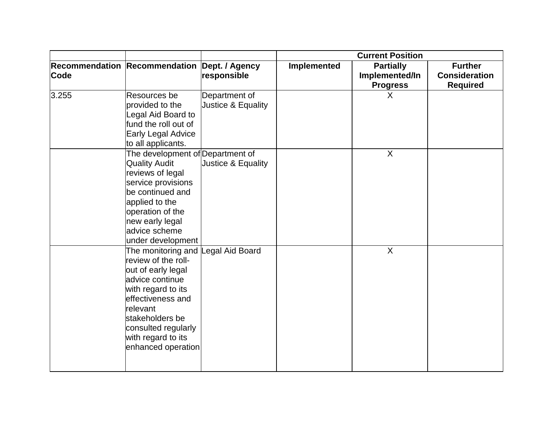|             |                                                                                                                                                                                                                                                 |                                     | <b>Current Position</b> |                                                       |                                                           |
|-------------|-------------------------------------------------------------------------------------------------------------------------------------------------------------------------------------------------------------------------------------------------|-------------------------------------|-------------------------|-------------------------------------------------------|-----------------------------------------------------------|
| <b>Code</b> | Recommendation Recommendation Dept. / Agency                                                                                                                                                                                                    | responsible                         | Implemented             | <b>Partially</b><br>Implemented/In<br><b>Progress</b> | <b>Further</b><br><b>Consideration</b><br><b>Required</b> |
| 3.255       | Resources be<br>provided to the<br>Legal Aid Board to<br>fund the roll out of<br>Early Legal Advice<br>to all applicants.                                                                                                                       | Department of<br>Justice & Equality |                         | X                                                     |                                                           |
|             | The development of Department of<br><b>Quality Audit</b><br>reviews of legal<br>service provisions<br>be continued and<br>applied to the<br>operation of the<br>new early legal<br>advice scheme<br>under development                           | Justice & Equality                  |                         | $\mathsf{X}$                                          |                                                           |
|             | The monitoring and Legal Aid Board<br>review of the roll-<br>out of early legal<br>advice continue<br>with regard to its<br>effectiveness and<br>relevant<br>stakeholders be<br>consulted regularly<br>with regard to its<br>enhanced operation |                                     |                         | $\sf X$                                               |                                                           |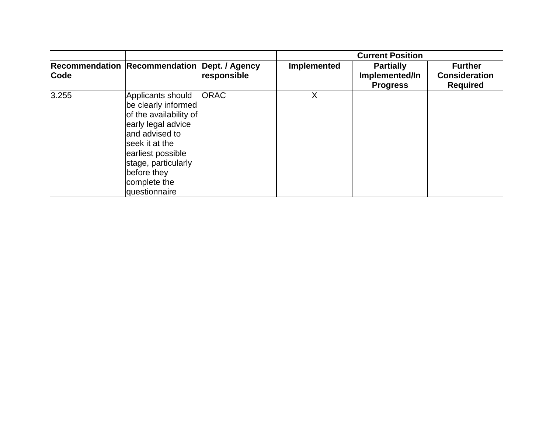|       |                                                                                                                                                                                                                           |                               | <b>Current Position</b> |                                                       |                                                           |
|-------|---------------------------------------------------------------------------------------------------------------------------------------------------------------------------------------------------------------------------|-------------------------------|-------------------------|-------------------------------------------------------|-----------------------------------------------------------|
| Code  | <b>Recommendation Recommendation</b>                                                                                                                                                                                      | Dept. / Agency<br>responsible | <b>Implemented</b>      | <b>Partially</b><br>Implemented/In<br><b>Progress</b> | <b>Further</b><br><b>Consideration</b><br><b>Required</b> |
| 3.255 | Applicants should<br>be clearly informed<br>of the availability of<br>early legal advice<br>and advised to<br>lseek it at the<br>earliest possible<br>stage, particularly<br>before they<br>complete the<br>questionnaire | <b>ORAC</b>                   | Χ                       |                                                       |                                                           |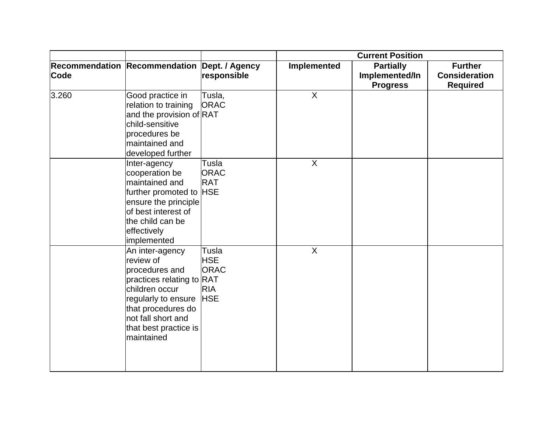|             |                                                                                                                                                                                                         |                                                                | <b>Current Position</b> |                                                       |                                                           |
|-------------|---------------------------------------------------------------------------------------------------------------------------------------------------------------------------------------------------------|----------------------------------------------------------------|-------------------------|-------------------------------------------------------|-----------------------------------------------------------|
| <b>Code</b> | Recommendation Recommendation Dept. / Agency                                                                                                                                                            | responsible                                                    | Implemented             | <b>Partially</b><br>Implemented/In<br><b>Progress</b> | <b>Further</b><br><b>Consideration</b><br><b>Required</b> |
| 3.260       | Good practice in<br>relation to training<br>and the provision of RAT<br>child-sensitive<br>procedures be<br>maintained and<br>developed further                                                         | Tusla,<br><b>ORAC</b>                                          | $\sf X$                 |                                                       |                                                           |
|             | Inter-agency<br>cooperation be<br>maintained and<br>further promoted to HSE<br>ensure the principle<br>of best interest of<br>the child can be<br>effectively<br>implemented                            | Tusla<br><b>ORAC</b><br><b>RAT</b>                             | $\sf X$                 |                                                       |                                                           |
|             | An inter-agency<br>review of<br>procedures and<br>practices relating to RAT<br>children occur<br>regularly to ensure<br>that procedures do<br>not fall short and<br>that best practice is<br>maintained | Tusla<br><b>HSE</b><br><b>ORAC</b><br><b>RIA</b><br><b>HSE</b> | $\overline{X}$          |                                                       |                                                           |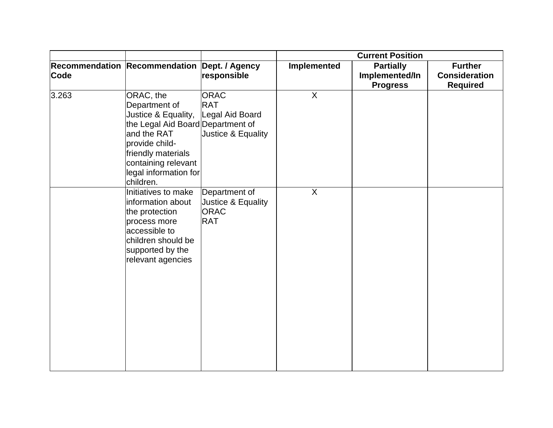|       |                                                                                                                                                                                                            |                                                                    | <b>Current Position</b> |                                                       |                                                           |
|-------|------------------------------------------------------------------------------------------------------------------------------------------------------------------------------------------------------------|--------------------------------------------------------------------|-------------------------|-------------------------------------------------------|-----------------------------------------------------------|
| Code  | Recommendation Recommendation Dept. / Agency                                                                                                                                                               | responsible                                                        | Implemented             | <b>Partially</b><br>Implemented/In<br><b>Progress</b> | <b>Further</b><br><b>Consideration</b><br><b>Required</b> |
| 3.263 | ORAC, the<br>Department of<br>Justice & Equality,<br>the Legal Aid Board Department of<br>and the RAT<br>provide child-<br>friendly materials<br>containing relevant<br>legal information for<br>children. | <b>ORAC</b><br><b>RAT</b><br>Legal Aid Board<br>Justice & Equality | $\mathsf{X}$            |                                                       |                                                           |
|       | Initiatives to make<br>information about<br>the protection<br>process more<br>accessible to<br>children should be<br>supported by the<br>relevant agencies                                                 | Department of<br>Justice & Equality<br><b>ORAC</b><br><b>RAT</b>   | $\sf X$                 |                                                       |                                                           |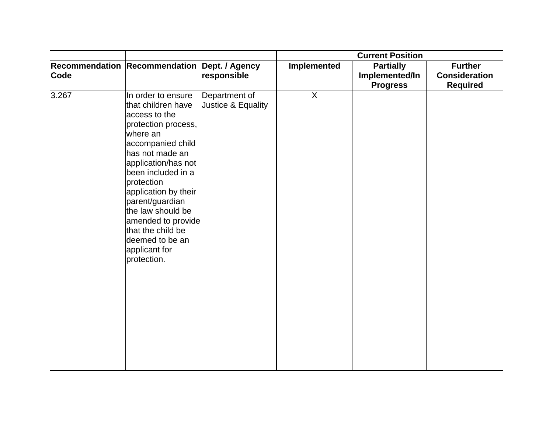|       |                                                                                                                                                                                                                                                                                                                                                               |                                     | <b>Current Position</b> |                                                       |                                                           |
|-------|---------------------------------------------------------------------------------------------------------------------------------------------------------------------------------------------------------------------------------------------------------------------------------------------------------------------------------------------------------------|-------------------------------------|-------------------------|-------------------------------------------------------|-----------------------------------------------------------|
| Code  | Recommendation Recommendation Dept. / Agency                                                                                                                                                                                                                                                                                                                  | responsible                         | Implemented             | <b>Partially</b><br>Implemented/In<br><b>Progress</b> | <b>Further</b><br><b>Consideration</b><br><b>Required</b> |
| 3.267 | In order to ensure<br>that children have<br>access to the<br>protection process,<br>where an<br>accompanied child<br>has not made an<br>application/has not<br>been included in a<br>protection<br>application by their<br>parent/guardian<br>the law should be<br>amended to provide<br>that the child be<br>deemed to be an<br>applicant for<br>protection. | Department of<br>Justice & Equality | $\sf X$                 |                                                       |                                                           |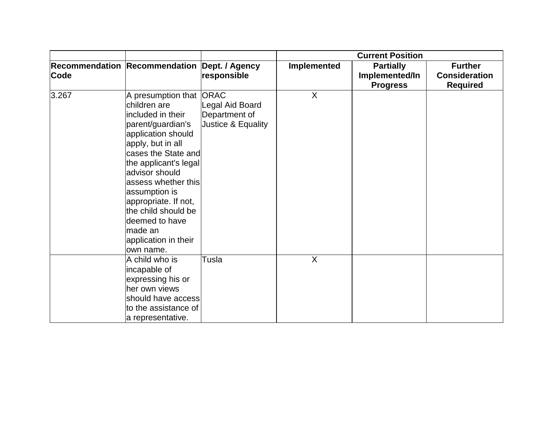|       |                                                                                                                                                                                                                                                                                                                                                         |                                                        | <b>Current Position</b> |                                                       |                                                           |
|-------|---------------------------------------------------------------------------------------------------------------------------------------------------------------------------------------------------------------------------------------------------------------------------------------------------------------------------------------------------------|--------------------------------------------------------|-------------------------|-------------------------------------------------------|-----------------------------------------------------------|
| Code  | Recommendation Recommendation Dept. / Agency                                                                                                                                                                                                                                                                                                            | responsible                                            | Implemented             | <b>Partially</b><br>Implemented/In<br><b>Progress</b> | <b>Further</b><br><b>Consideration</b><br><b>Required</b> |
| 3.267 | A presumption that ORAC<br>children are<br>included in their<br>parent/guardian's<br>application should<br>apply, but in all<br>cases the State and<br>the applicant's legal<br>advisor should<br>assess whether this<br>assumption is<br>appropriate. If not,<br>the child should be<br>deemed to have<br>made an<br>application in their<br>own name. | Legal Aid Board<br>Department of<br>Justice & Equality | $\sf X$                 |                                                       |                                                           |
|       | A child who is<br>incapable of<br>expressing his or<br>her own views<br>should have access<br>to the assistance of<br>a representative.                                                                                                                                                                                                                 | Tusla                                                  | X                       |                                                       |                                                           |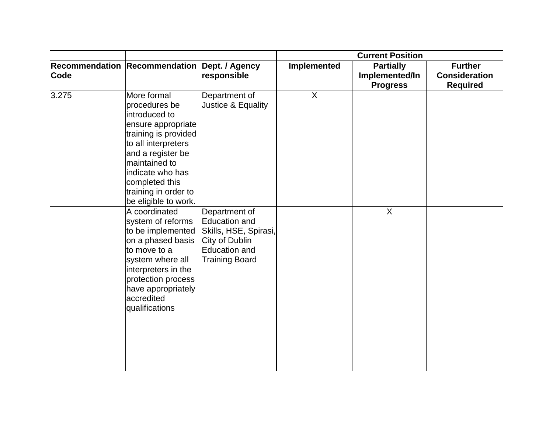|       |                                                                                                                                                                                                                                                |                                                                                                              | <b>Current Position</b> |                                                       |                                                           |
|-------|------------------------------------------------------------------------------------------------------------------------------------------------------------------------------------------------------------------------------------------------|--------------------------------------------------------------------------------------------------------------|-------------------------|-------------------------------------------------------|-----------------------------------------------------------|
| Code  | Recommendation Recommendation Dept. / Agency                                                                                                                                                                                                   | responsible                                                                                                  | Implemented             | <b>Partially</b><br>Implemented/In<br><b>Progress</b> | <b>Further</b><br><b>Consideration</b><br><b>Required</b> |
| 3.275 | More formal<br>procedures be<br>introduced to<br>ensure appropriate<br>training is provided<br>to all interpreters<br>and a register be<br>maintained to<br>indicate who has<br>completed this<br>training in order to<br>be eligible to work. | Department of<br>Justice & Equality                                                                          | $\mathsf{X}$            |                                                       |                                                           |
|       | A coordinated<br>system of reforms<br>to be implemented<br>on a phased basis<br>to move to a<br>system where all<br>interpreters in the<br>protection process<br>have appropriately<br>accredited<br>qualifications                            | Department of<br>Education and<br>Skills, HSE, Spirasi,<br>City of Dublin<br>Education and<br>Training Board |                         | $\overline{X}$                                        |                                                           |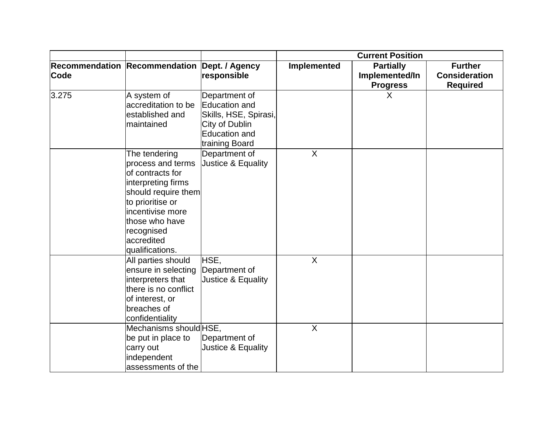|       |                                                                                                                                                                                                              |                                                                                                              | <b>Current Position</b> |                                                       |                                                           |
|-------|--------------------------------------------------------------------------------------------------------------------------------------------------------------------------------------------------------------|--------------------------------------------------------------------------------------------------------------|-------------------------|-------------------------------------------------------|-----------------------------------------------------------|
| Code  | Recommendation Recommendation Dept. / Agency                                                                                                                                                                 | responsible                                                                                                  | <b>Implemented</b>      | <b>Partially</b><br>Implemented/In<br><b>Progress</b> | <b>Further</b><br><b>Consideration</b><br><b>Required</b> |
| 3.275 | A system of<br>accreditation to be<br>established and<br>maintained                                                                                                                                          | Department of<br>Education and<br>Skills, HSE, Spirasi,<br>City of Dublin<br>Education and<br>training Board |                         | X                                                     |                                                           |
|       | The tendering<br>process and terms<br>of contracts for<br>interpreting firms<br>should require them<br>to prioritise or<br>incentivise more<br>those who have<br>recognised<br>accredited<br>qualifications. | Department of<br>Justice & Equality                                                                          | $\sf X$                 |                                                       |                                                           |
|       | All parties should<br>ensure in selecting<br>interpreters that<br>there is no conflict<br>of interest, or<br>breaches of<br>confidentiality                                                                  | HSE,<br>Department of<br>Justice & Equality                                                                  | $\overline{X}$          |                                                       |                                                           |
|       | Mechanisms should HSE,<br>be put in place to<br>carry out<br>independent<br>assessments of the                                                                                                               | Department of<br>Justice & Equality                                                                          | $\overline{X}$          |                                                       |                                                           |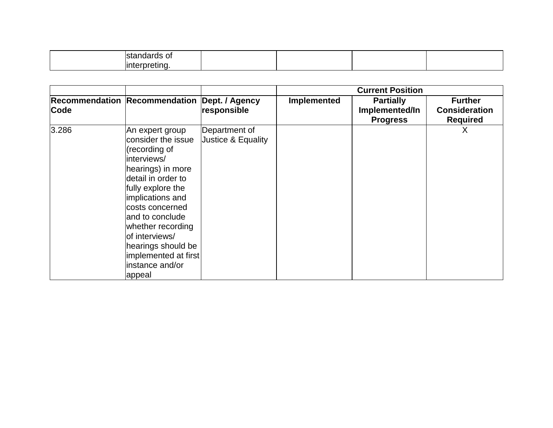|       |                                                                                                                                                                                                                                                                                                                     |                                     | <b>Current Position</b> |                                                       |                                                           |
|-------|---------------------------------------------------------------------------------------------------------------------------------------------------------------------------------------------------------------------------------------------------------------------------------------------------------------------|-------------------------------------|-------------------------|-------------------------------------------------------|-----------------------------------------------------------|
| Code  | Recommendation Recommendation Dept. / Agency                                                                                                                                                                                                                                                                        | responsible                         | Implemented             | <b>Partially</b><br>Implemented/In<br><b>Progress</b> | <b>Further</b><br><b>Consideration</b><br><b>Required</b> |
| 3.286 | An expert group<br>consider the issue<br>(recording of<br>interviews/<br>hearings) in more<br>detail in order to<br>fully explore the<br>implications and<br>costs concerned<br>land to conclude<br>whether recording<br>of interviews/<br>hearings should be<br>implemented at first<br>instance and/or<br> appeal | Department of<br>Justice & Equality |                         |                                                       | X                                                         |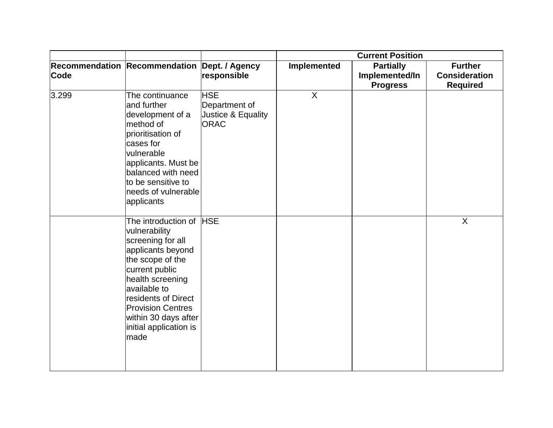|             |                                                                                                                                                                                                                                                                           |                                                                  | <b>Current Position</b> |                                                       |                                                           |
|-------------|---------------------------------------------------------------------------------------------------------------------------------------------------------------------------------------------------------------------------------------------------------------------------|------------------------------------------------------------------|-------------------------|-------------------------------------------------------|-----------------------------------------------------------|
| <b>Code</b> | Recommendation Recommendation Dept. / Agency                                                                                                                                                                                                                              | responsible                                                      | Implemented             | <b>Partially</b><br>Implemented/In<br><b>Progress</b> | <b>Further</b><br><b>Consideration</b><br><b>Required</b> |
| 3.299       | The continuance<br>and further<br>development of a<br>method of<br>prioritisation of<br>cases for<br>vulnerable<br>applicants. Must be<br>balanced with need<br>to be sensitive to<br>needs of vulnerable<br>applicants                                                   | <b>HSE</b><br>Department of<br>Justice & Equality<br><b>ORAC</b> | $\sf X$                 |                                                       |                                                           |
|             | The introduction of HSE<br>vulnerability<br>screening for all<br>applicants beyond<br>the scope of the<br>current public<br>health screening<br>available to<br>residents of Direct<br><b>Provision Centres</b><br>within 30 days after<br>initial application is<br>made |                                                                  |                         |                                                       | X                                                         |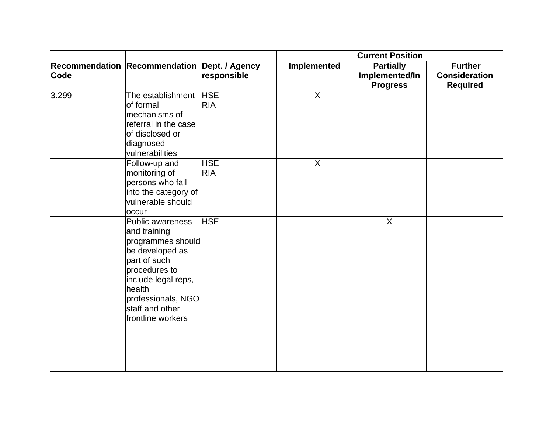|             |                                                                                                                                                                                                          |                          | <b>Current Position</b> |                                                       |                                                           |
|-------------|----------------------------------------------------------------------------------------------------------------------------------------------------------------------------------------------------------|--------------------------|-------------------------|-------------------------------------------------------|-----------------------------------------------------------|
| <b>Code</b> | Recommendation Recommendation Dept. / Agency                                                                                                                                                             | responsible              | Implemented             | <b>Partially</b><br>Implemented/In<br><b>Progress</b> | <b>Further</b><br><b>Consideration</b><br><b>Required</b> |
| 3.299       | The establishment   HSE<br>of formal<br>mechanisms of<br>referral in the case<br>of disclosed or<br>diagnosed<br>vulnerabilities                                                                         | <b>RIA</b>               | X                       |                                                       |                                                           |
|             | Follow-up and<br>monitoring of<br>persons who fall<br>into the category of<br>vulnerable should<br>occur                                                                                                 | <b>HSE</b><br><b>RIA</b> | X                       |                                                       |                                                           |
|             | Public awareness<br>and training<br>programmes should<br>be developed as<br>part of such<br>procedures to<br>include legal reps,<br>health<br>professionals, NGO<br>staff and other<br>frontline workers | <b>HSE</b>               |                         | $\overline{X}$                                        |                                                           |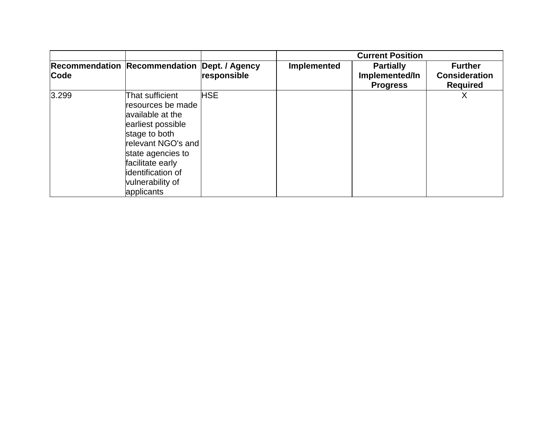|       | <b>Recommendation Recommendation</b>                                                                                                                                                                                 |                               |                    | <b>Current Position</b>                               |                                                           |
|-------|----------------------------------------------------------------------------------------------------------------------------------------------------------------------------------------------------------------------|-------------------------------|--------------------|-------------------------------------------------------|-----------------------------------------------------------|
| Code  |                                                                                                                                                                                                                      | Dept. / Agency<br>responsible | <b>Implemented</b> | <b>Partially</b><br>Implemented/In<br><b>Progress</b> | <b>Further</b><br><b>Consideration</b><br><b>Required</b> |
| 3.299 | That sufficient<br>resources be made<br>available at the<br>earliest possible<br>stage to both<br>relevant NGO's and<br>state agencies to<br>facilitate early<br>identification of<br>vulnerability of<br>applicants | HSE                           |                    |                                                       | Х                                                         |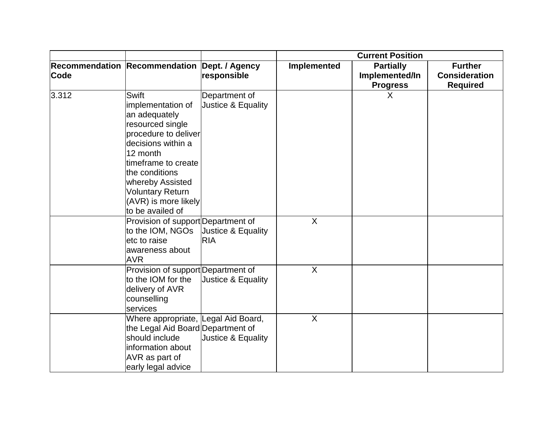|       |                                                                                                                                                                                                                                                                      |                                     | <b>Current Position</b> |                                                       |                                                           |
|-------|----------------------------------------------------------------------------------------------------------------------------------------------------------------------------------------------------------------------------------------------------------------------|-------------------------------------|-------------------------|-------------------------------------------------------|-----------------------------------------------------------|
| Code  | Recommendation Recommendation Dept. / Agency                                                                                                                                                                                                                         | responsible                         | <b>Implemented</b>      | <b>Partially</b><br>Implemented/In<br><b>Progress</b> | <b>Further</b><br><b>Consideration</b><br><b>Required</b> |
| 3.312 | <b>Swift</b><br>implementation of<br>an adequately<br>resourced single<br>procedure to deliver<br>decisions within a<br>12 month<br>timeframe to create<br>the conditions<br>whereby Assisted<br><b>Voluntary Return</b><br>(AVR) is more likely<br>to be availed of | Department of<br>Justice & Equality |                         | X                                                     |                                                           |
|       | Provision of support Department of<br>to the IOM, NGOs<br>etc to raise<br>awareness about<br><b>AVR</b>                                                                                                                                                              | Justice & Equality<br><b>RIA</b>    | X                       |                                                       |                                                           |
|       | Provision of support Department of<br>to the IOM for the<br>delivery of AVR<br>counselling<br>services                                                                                                                                                               | Justice & Equality                  | $\sf X$                 |                                                       |                                                           |
|       | Where appropriate, Legal Aid Board,<br>the Legal Aid Board Department of<br>should include<br>information about<br>AVR as part of<br>early legal advice                                                                                                              | Justice & Equality                  | $\sf X$                 |                                                       |                                                           |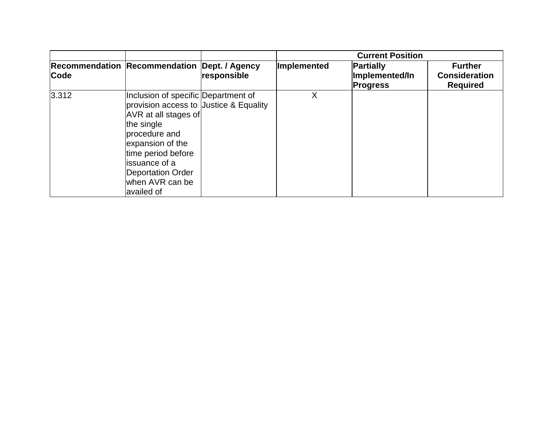|             |                                                                                                                                                                                                                                                               |             | <b>Current Position</b> |                                                       |                                                           |
|-------------|---------------------------------------------------------------------------------------------------------------------------------------------------------------------------------------------------------------------------------------------------------------|-------------|-------------------------|-------------------------------------------------------|-----------------------------------------------------------|
| <b>Code</b> | Recommendation Recommendation Dept. / Agency                                                                                                                                                                                                                  | responsible | Implemented             | <b>Partially</b><br>Implemented/In<br><b>Progress</b> | <b>Further</b><br><b>Consideration</b><br><b>Required</b> |
| 3.312       | Inclusion of specific Department of<br>provision access to Justice & Equality<br>AVR at all stages of<br>the single<br>procedure and<br>expansion of the<br>time period before<br>lissuance of a<br><b>Deportation Order</b><br>when AVR can be<br>availed of |             | Χ                       |                                                       |                                                           |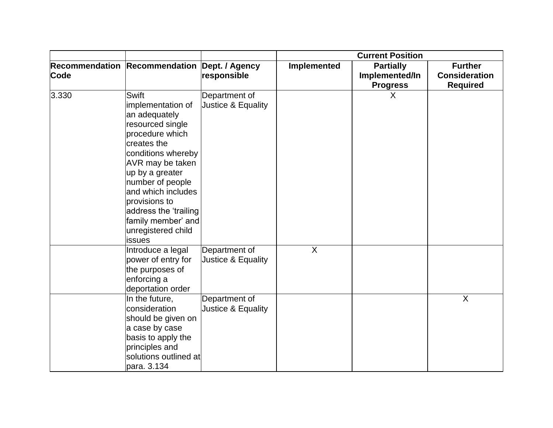|       |                                                                                                                                                                                                                                                                                                          |                                     | <b>Current Position</b>   |                                                       |                                                           |
|-------|----------------------------------------------------------------------------------------------------------------------------------------------------------------------------------------------------------------------------------------------------------------------------------------------------------|-------------------------------------|---------------------------|-------------------------------------------------------|-----------------------------------------------------------|
| Code  | Recommendation Recommendation Dept. / Agency                                                                                                                                                                                                                                                             | responsible                         | Implemented               | <b>Partially</b><br>Implemented/In<br><b>Progress</b> | <b>Further</b><br><b>Consideration</b><br><b>Required</b> |
| 3.330 | Swift<br>implementation of<br>an adequately<br>resourced single<br>procedure which<br>creates the<br>conditions whereby<br>AVR may be taken<br>up by a greater<br>number of people<br>and which includes<br>provisions to<br>address the 'trailing<br>family member' and<br>unregistered child<br>issues | Department of<br>Justice & Equality |                           | $\sf X$                                               |                                                           |
|       | Introduce a legal<br>power of entry for<br>the purposes of<br>enforcing a<br>deportation order                                                                                                                                                                                                           | Department of<br>Justice & Equality | $\boldsymbol{\mathsf{X}}$ |                                                       |                                                           |
|       | In the future,<br>consideration<br>should be given on<br>a case by case<br>basis to apply the<br>principles and<br>solutions outlined at<br>para. 3.134                                                                                                                                                  | Department of<br>Justice & Equality |                           |                                                       | X                                                         |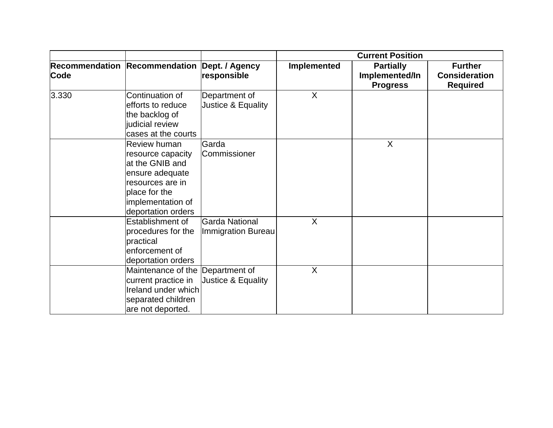|       |                                                                                                                                                         |                                      | <b>Current Position</b> |                                                       |                                                           |
|-------|---------------------------------------------------------------------------------------------------------------------------------------------------------|--------------------------------------|-------------------------|-------------------------------------------------------|-----------------------------------------------------------|
| Code  | Recommendation Recommendation Dept. / Agency                                                                                                            | responsible                          | <b>Implemented</b>      | <b>Partially</b><br>Implemented/In<br><b>Progress</b> | <b>Further</b><br><b>Consideration</b><br><b>Required</b> |
| 3.330 | Continuation of<br>efforts to reduce<br>the backlog of<br>judicial review<br>cases at the courts                                                        | Department of<br>Justice & Equality  | $\sf X$                 |                                                       |                                                           |
|       | Review human<br>resource capacity<br>at the GNIB and<br>ensure adequate<br>resources are in<br>place for the<br>implementation of<br>deportation orders | Garda<br>Commissioner                |                         | X                                                     |                                                           |
|       | Establishment of<br>procedures for the<br>practical<br>enforcement of<br>deportation orders                                                             | Garda National<br>Immigration Bureau | X                       |                                                       |                                                           |
|       | Maintenance of the Department of<br>current practice in<br>Ireland under which<br>separated children<br>are not deported.                               | Justice & Equality                   | X                       |                                                       |                                                           |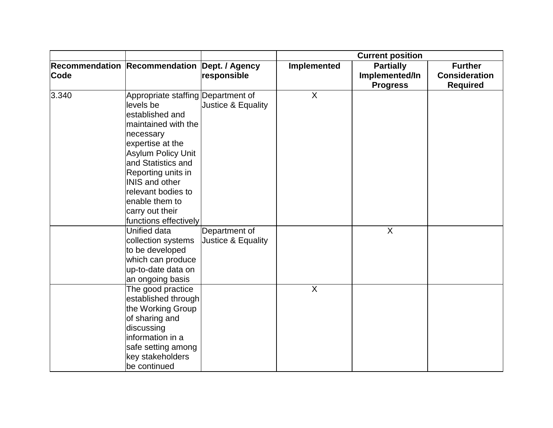|             |                                                                                                                                                                                                                                                                                                                  |                                     | <b>Current position</b> |                                                       |                                                           |
|-------------|------------------------------------------------------------------------------------------------------------------------------------------------------------------------------------------------------------------------------------------------------------------------------------------------------------------|-------------------------------------|-------------------------|-------------------------------------------------------|-----------------------------------------------------------|
| <b>Code</b> | Recommendation Recommendation Dept. / Agency                                                                                                                                                                                                                                                                     | responsible                         | <b>Implemented</b>      | <b>Partially</b><br>Implemented/In<br><b>Progress</b> | <b>Further</b><br><b>Consideration</b><br><b>Required</b> |
| 3.340       | Appropriate staffing Department of<br>levels be<br>established and<br>maintained with the<br>necessary<br>expertise at the<br><b>Asylum Policy Unit</b><br>and Statistics and<br>Reporting units in<br><b>INIS and other</b><br>relevant bodies to<br>enable them to<br>carry out their<br>functions effectively | Justice & Equality                  | X                       |                                                       |                                                           |
|             | Unified data<br>collection systems<br>to be developed<br>which can produce<br>up-to-date data on<br>an ongoing basis                                                                                                                                                                                             | Department of<br>Justice & Equality |                         | $\mathsf{X}$                                          |                                                           |
|             | The good practice<br>established through<br>the Working Group<br>of sharing and<br>discussing<br>information in a<br>safe setting among<br>key stakeholders<br>be continued                                                                                                                                      |                                     | $\sf X$                 |                                                       |                                                           |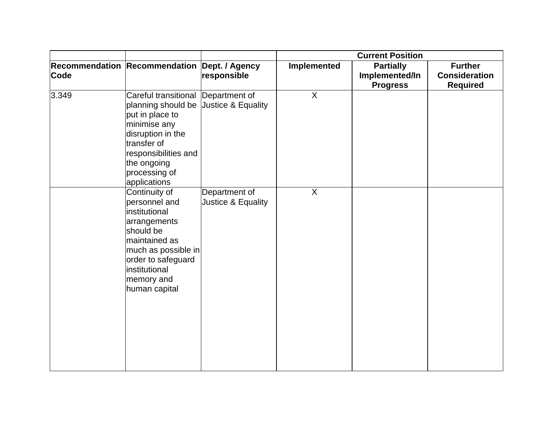|       |                                                                                                                                                                                                                            |                                     | <b>Current Position</b> |                                                       |                                                           |
|-------|----------------------------------------------------------------------------------------------------------------------------------------------------------------------------------------------------------------------------|-------------------------------------|-------------------------|-------------------------------------------------------|-----------------------------------------------------------|
| Code  | Recommendation Recommendation Dept. / Agency                                                                                                                                                                               | responsible                         | Implemented             | <b>Partially</b><br>Implemented/In<br><b>Progress</b> | <b>Further</b><br><b>Consideration</b><br><b>Required</b> |
| 3.349 | Careful transitional Department of<br>planning should be Justice & Equality<br>put in place to<br>minimise any<br>disruption in the<br>transfer of<br>responsibilities and<br>the ongoing<br>processing of<br>applications |                                     | $\overline{X}$          |                                                       |                                                           |
|       | Continuity of<br>personnel and<br>institutional<br>arrangements<br>should be<br>maintained as<br>much as possible in<br>order to safeguard<br>institutional<br>memory and<br>human capital                                 | Department of<br>Justice & Equality | $\sf X$                 |                                                       |                                                           |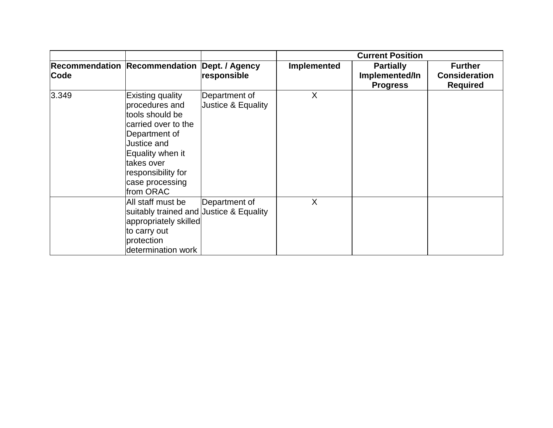|       |                                                                                                                                                                                                      |                                                | <b>Current Position</b> |                                                       |                                                           |
|-------|------------------------------------------------------------------------------------------------------------------------------------------------------------------------------------------------------|------------------------------------------------|-------------------------|-------------------------------------------------------|-----------------------------------------------------------|
| Code  | <b>Recommendation Recommendation</b>                                                                                                                                                                 | Dept. / Agency<br>responsible                  | Implemented             | <b>Partially</b><br>Implemented/In<br><b>Progress</b> | <b>Further</b><br><b>Consideration</b><br><b>Required</b> |
| 3.349 | Existing quality<br>procedures and<br>tools should be<br>carried over to the<br>Department of<br>Justice and<br>Equality when it<br>takes over<br>responsibility for<br>case processing<br>from ORAC | Department of<br><b>Justice &amp; Equality</b> | X                       |                                                       |                                                           |
|       | All staff must be<br>suitably trained and Justice & Equality<br>appropriately skilled<br>to carry out<br>protection<br>determination work                                                            | Department of                                  | X                       |                                                       |                                                           |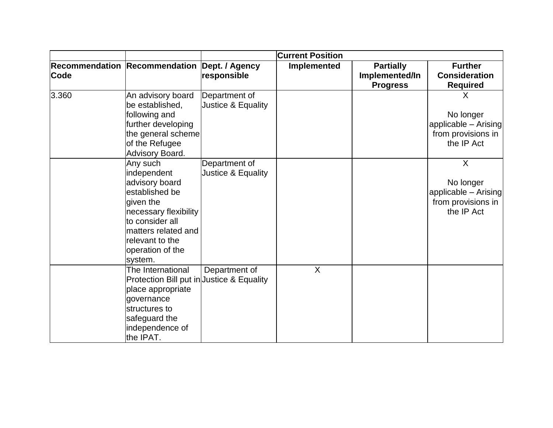|       |                                                                                                                                                                                               | <b>Current Position</b>             |                    |                                    |                                                                                  |
|-------|-----------------------------------------------------------------------------------------------------------------------------------------------------------------------------------------------|-------------------------------------|--------------------|------------------------------------|----------------------------------------------------------------------------------|
| Code  | Recommendation Recommendation Dept. / Agency                                                                                                                                                  | responsible                         | <b>Implemented</b> | <b>Partially</b><br>Implemented/In | <b>Further</b><br><b>Consideration</b>                                           |
| 3.360 | An advisory board                                                                                                                                                                             | Department of                       |                    | <b>Progress</b>                    | <b>Required</b><br>X                                                             |
|       | be established,<br>following and<br>further developing<br>the general scheme<br>of the Refugee<br>Advisory Board.                                                                             | Justice & Equality                  |                    |                                    | No longer<br>applicable - Arising<br>from provisions in<br>the IP Act            |
|       | Any such<br>independent<br>advisory board<br>established be<br>given the<br>necessary flexibility<br>to consider all<br>matters related and<br>relevant to the<br>operation of the<br>system. | Department of<br>Justice & Equality |                    |                                    | $\sf X$<br>No longer<br>applicable - Arising<br>from provisions in<br>the IP Act |
|       | The International<br>Protection Bill put in Justice & Equality<br>place appropriate<br>governance<br>structures to<br>safeguard the<br>independence of<br>the IPAT.                           | Department of                       | X                  |                                    |                                                                                  |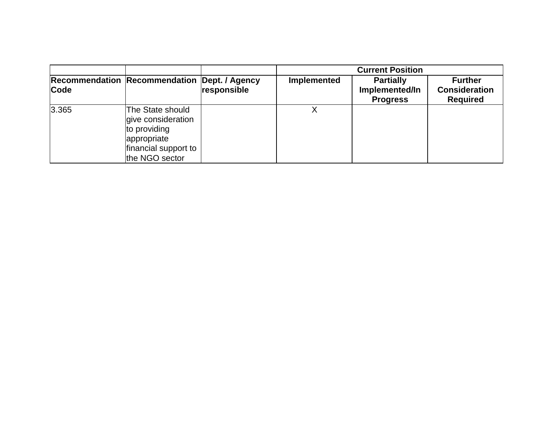|       |                                                                                                                 |             |             | <b>Current Position</b>                               |                                                           |
|-------|-----------------------------------------------------------------------------------------------------------------|-------------|-------------|-------------------------------------------------------|-----------------------------------------------------------|
| Code  | <b>Recommendation Recommendation Dept. / Agency</b>                                                             | responsible | Implemented | <b>Partially</b><br>Implemented/In<br><b>Progress</b> | <b>Further</b><br><b>Consideration</b><br><b>Required</b> |
| 3.365 | The State should<br>give consideration<br>to providing<br>appropriate<br>financial support to<br>the NGO sector |             |             |                                                       |                                                           |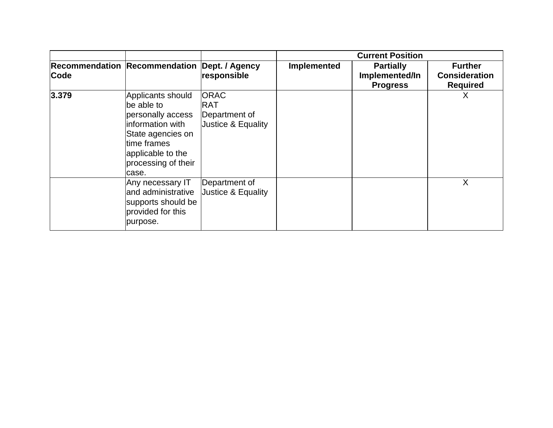|       |                                                                                                                                                                   |                                                                  |             | <b>Current Position</b>                               |                                                           |
|-------|-------------------------------------------------------------------------------------------------------------------------------------------------------------------|------------------------------------------------------------------|-------------|-------------------------------------------------------|-----------------------------------------------------------|
| Code  | Recommendation Recommendation Dept. / Agency                                                                                                                      | responsible                                                      | Implemented | <b>Partially</b><br>Implemented/In<br><b>Progress</b> | <b>Further</b><br><b>Consideration</b><br><b>Required</b> |
| 3.379 | Applicants should<br>be able to<br>personally access<br>information with<br>State agencies on<br>time frames<br>applicable to the<br>processing of their<br>case. | <b>ORAC</b><br><b>RAT</b><br>Department of<br>Justice & Equality |             |                                                       | Х                                                         |
|       | Any necessary IT<br>and administrative<br>supports should be<br>provided for this<br>purpose.                                                                     | Department of<br>Justice & Equality                              |             |                                                       | Χ                                                         |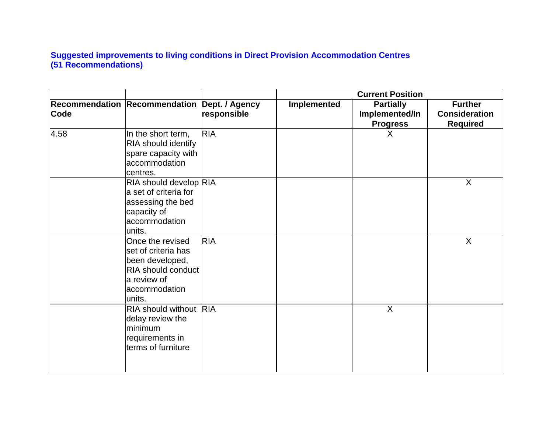## **Suggested improvements to living conditions in Direct Provision Accommodation Centres (51 Recommendations)**

|      |                                      |                               | <b>Current Position</b> |                                    |                                        |
|------|--------------------------------------|-------------------------------|-------------------------|------------------------------------|----------------------------------------|
| Code | <b>Recommendation Recommendation</b> | Dept. / Agency<br>responsible | Implemented             | <b>Partially</b><br>Implemented/In | <b>Further</b><br><b>Consideration</b> |
|      |                                      |                               |                         | <b>Progress</b>                    | <b>Required</b>                        |
| 4.58 | In the short term,                   | <b>RIA</b>                    |                         | X                                  |                                        |
|      | RIA should identify                  |                               |                         |                                    |                                        |
|      | spare capacity with                  |                               |                         |                                    |                                        |
|      | accommodation                        |                               |                         |                                    |                                        |
|      | centres.                             |                               |                         |                                    |                                        |
|      | RIA should develop RIA               |                               |                         |                                    | X                                      |
|      | a set of criteria for                |                               |                         |                                    |                                        |
|      | assessing the bed                    |                               |                         |                                    |                                        |
|      | capacity of                          |                               |                         |                                    |                                        |
|      | accommodation                        |                               |                         |                                    |                                        |
|      | units.                               |                               |                         |                                    |                                        |
|      | Once the revised                     | <b>RIA</b>                    |                         |                                    | $\mathsf{X}$                           |
|      | set of criteria has                  |                               |                         |                                    |                                        |
|      | been developed,                      |                               |                         |                                    |                                        |
|      | RIA should conduct                   |                               |                         |                                    |                                        |
|      | a review of                          |                               |                         |                                    |                                        |
|      | accommodation                        |                               |                         |                                    |                                        |
|      | units.                               |                               |                         |                                    |                                        |
|      | RIA should without RIA               |                               |                         | $\overline{X}$                     |                                        |
|      | delay review the                     |                               |                         |                                    |                                        |
|      | minimum                              |                               |                         |                                    |                                        |
|      | requirements in                      |                               |                         |                                    |                                        |
|      | terms of furniture                   |                               |                         |                                    |                                        |
|      |                                      |                               |                         |                                    |                                        |
|      |                                      |                               |                         |                                    |                                        |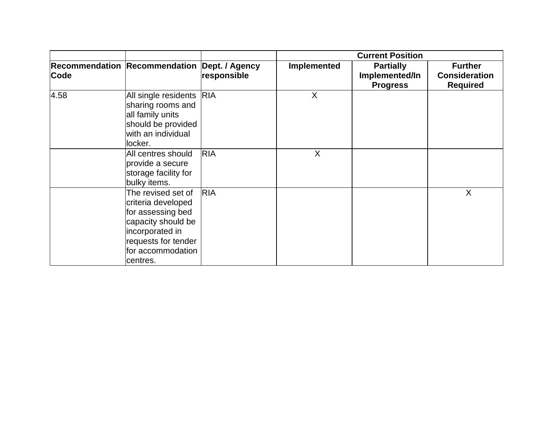|      |                                                                                                                                                                |                               | <b>Current Position</b> |                                                       |                                                           |
|------|----------------------------------------------------------------------------------------------------------------------------------------------------------------|-------------------------------|-------------------------|-------------------------------------------------------|-----------------------------------------------------------|
| Code | <b>Recommendation Recommendation</b>                                                                                                                           | Dept. / Agency<br>responsible | Implemented             | <b>Partially</b><br>Implemented/In<br><b>Progress</b> | <b>Further</b><br><b>Consideration</b><br><b>Required</b> |
| 4.58 | All single residents RIA<br>sharing rooms and<br>all family units<br>should be provided<br>with an individual<br>locker.                                       |                               | X                       |                                                       |                                                           |
|      | All centres should<br>provide a secure<br>storage facility for<br>bulky items.                                                                                 | <b>RIA</b>                    | X                       |                                                       |                                                           |
|      | The revised set of<br>criteria developed<br>for assessing bed<br>capacity should be<br>incorporated in<br>requests for tender<br>for accommodation<br>centres. | <b>RIA</b>                    |                         |                                                       | X                                                         |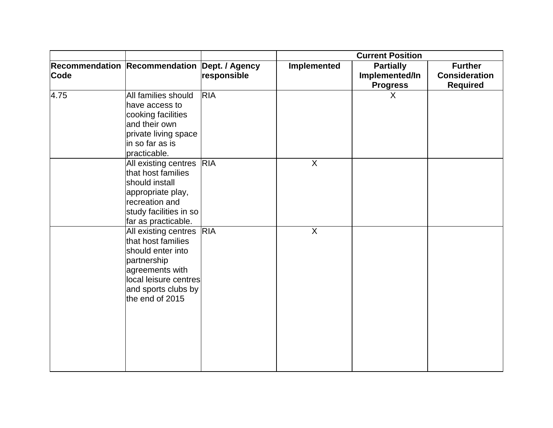|      |                                                                                                                                                                          |             | <b>Current Position</b> |                                                       |                                                           |
|------|--------------------------------------------------------------------------------------------------------------------------------------------------------------------------|-------------|-------------------------|-------------------------------------------------------|-----------------------------------------------------------|
| Code | Recommendation Recommendation Dept. / Agency                                                                                                                             | responsible | <b>Implemented</b>      | <b>Partially</b><br>Implemented/In<br><b>Progress</b> | <b>Further</b><br><b>Consideration</b><br><b>Required</b> |
| 4.75 | All families should<br>have access to<br>cooking facilities<br>and their own<br>private living space<br>in so far as is<br>practicable.                                  | <b>RIA</b>  |                         | $\mathsf{X}$                                          |                                                           |
|      | All existing centres RIA<br>that host families<br>should install<br>appropriate play,<br>recreation and<br>study facilities in so<br>far as practicable.                 |             | $\sf X$                 |                                                       |                                                           |
|      | All existing centres RIA<br>that host families<br>should enter into<br>partnership<br>agreements with<br>local leisure centres<br>and sports clubs by<br>the end of 2015 |             | $\sf X$                 |                                                       |                                                           |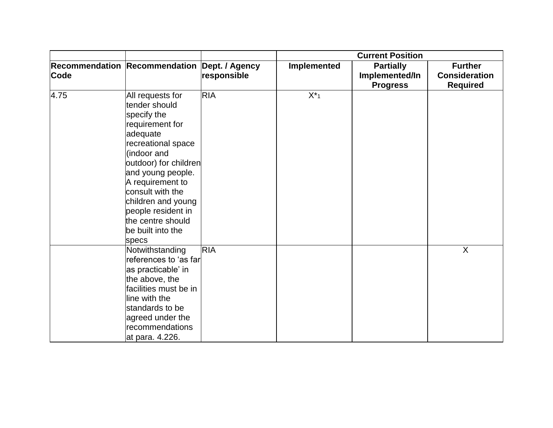|      |                                                                                                                                                                                                                                                                                                           |             | <b>Current Position</b> |                                   |                                         |
|------|-----------------------------------------------------------------------------------------------------------------------------------------------------------------------------------------------------------------------------------------------------------------------------------------------------------|-------------|-------------------------|-----------------------------------|-----------------------------------------|
|      | Recommendation Recommendation Dept. / Agency                                                                                                                                                                                                                                                              |             | <b>Implemented</b>      | <b>Partially</b>                  | <b>Further</b>                          |
| Code |                                                                                                                                                                                                                                                                                                           | responsible |                         | Implemented/In<br><b>Progress</b> | <b>Consideration</b><br><b>Required</b> |
| 4.75 | All requests for<br>tender should<br>specify the<br>requirement for<br>adequate<br>recreational space<br>(indoor and<br>outdoor) for children<br>and young people.<br>A requirement to<br>consult with the<br>children and young<br>people resident in<br>the centre should<br>be built into the<br>specs | <b>RIA</b>  | $X^*_{1}$               |                                   |                                         |
|      | Notwithstanding<br>references to 'as far<br>as practicable' in<br>the above, the<br>facilities must be in<br>line with the<br>standards to be<br>agreed under the<br>recommendations<br>at para. 4.226.                                                                                                   | <b>RIA</b>  |                         |                                   | X                                       |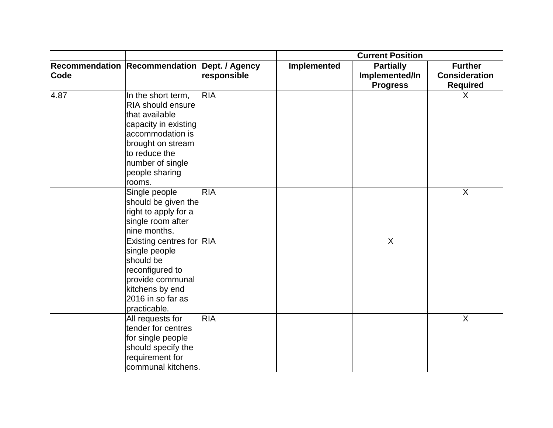|      |                                                                                                                                                                                                    |             | <b>Current Position</b> |                                                       |                                                           |
|------|----------------------------------------------------------------------------------------------------------------------------------------------------------------------------------------------------|-------------|-------------------------|-------------------------------------------------------|-----------------------------------------------------------|
| Code | Recommendation Recommendation Dept. / Agency                                                                                                                                                       | responsible | Implemented             | <b>Partially</b><br>Implemented/In<br><b>Progress</b> | <b>Further</b><br><b>Consideration</b><br><b>Required</b> |
| 4.87 | In the short term,<br><b>RIA should ensure</b><br>that available<br>capacity in existing<br>accommodation is<br>brought on stream<br>to reduce the<br>number of single<br>people sharing<br>rooms. | <b>RIA</b>  |                         |                                                       | $\sf X$                                                   |
|      | Single people<br>should be given the<br>right to apply for a<br>single room after<br>nine months.                                                                                                  | <b>RIA</b>  |                         |                                                       | $\boldsymbol{\mathsf{X}}$                                 |
|      | Existing centres for RIA<br>single people<br>should be<br>reconfigured to<br>provide communal<br>kitchens by end<br>2016 in so far as<br>practicable.                                              |             |                         | X                                                     |                                                           |
|      | All requests for<br>tender for centres<br>for single people<br>should specify the<br>requirement for<br>communal kitchens.                                                                         | <b>RIA</b>  |                         |                                                       | $\boldsymbol{\mathsf{X}}$                                 |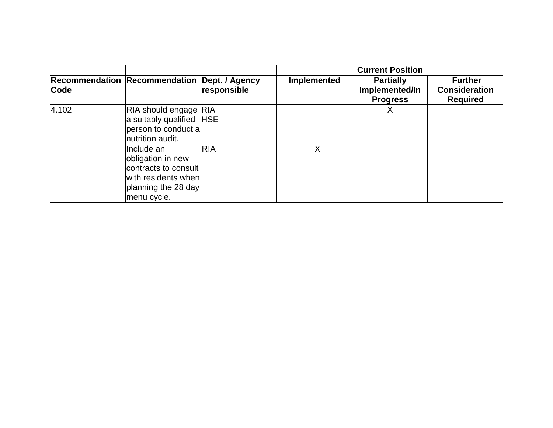|             |                                                                                                                      |             | <b>Current Position</b> |                                                       |                                                           |
|-------------|----------------------------------------------------------------------------------------------------------------------|-------------|-------------------------|-------------------------------------------------------|-----------------------------------------------------------|
| <b>Code</b> | Recommendation Recommendation Dept. / Agency                                                                         | responsible | Implemented             | <b>Partially</b><br>Implemented/In<br><b>Progress</b> | <b>Further</b><br><b>Consideration</b><br><b>Required</b> |
| 4.102       | RIA should engage RIA<br>a suitably qualified HSE<br>person to conduct a<br>nutrition audit.                         |             |                         |                                                       |                                                           |
|             | Include an<br>obligation in new<br>contracts to consult<br>with residents when<br>planning the 28 day<br>menu cycle. | <b>RIA</b>  | Χ                       |                                                       |                                                           |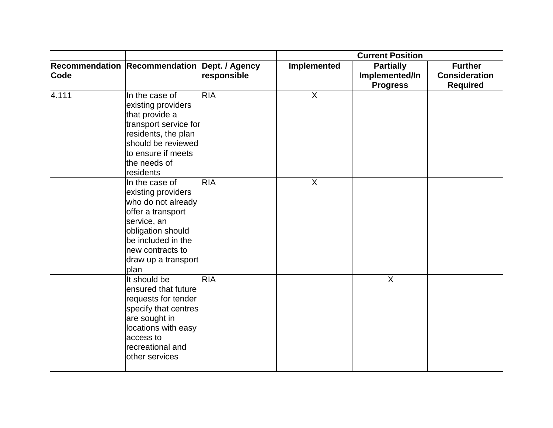|             |                                                                                                                                                                                              |             | <b>Current Position</b> |                                                       |                                                           |
|-------------|----------------------------------------------------------------------------------------------------------------------------------------------------------------------------------------------|-------------|-------------------------|-------------------------------------------------------|-----------------------------------------------------------|
| <b>Code</b> | Recommendation Recommendation Dept. / Agency                                                                                                                                                 | responsible | <b>Implemented</b>      | <b>Partially</b><br>Implemented/In<br><b>Progress</b> | <b>Further</b><br><b>Consideration</b><br><b>Required</b> |
| 4.111       | In the case of<br>existing providers<br>that provide a<br>transport service for<br>residents, the plan<br>should be reviewed<br>to ensure if meets<br>the needs of<br>residents              | <b>RIA</b>  | X                       |                                                       |                                                           |
|             | In the case of<br>existing providers<br>who do not already<br>offer a transport<br>service, an<br>obligation should<br>be included in the<br>new contracts to<br>draw up a transport<br>plan | <b>RIA</b>  | $\sf X$                 |                                                       |                                                           |
|             | It should be<br>ensured that future<br>requests for tender<br>specify that centres<br>are sought in<br>locations with easy<br>access to<br>recreational and<br>other services                | <b>RIA</b>  |                         | $\overline{X}$                                        |                                                           |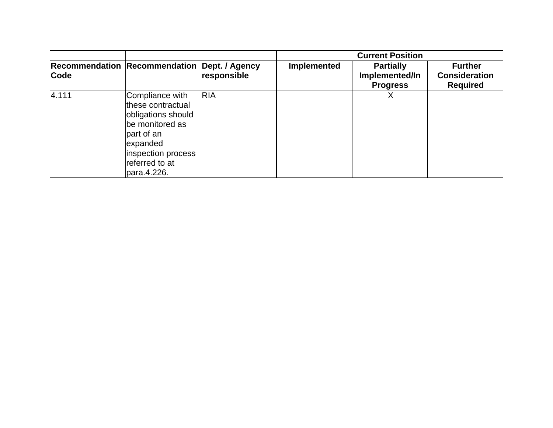|       |                                                                                                                                                                |             |                    | <b>Current Position</b>                               |                                                           |
|-------|----------------------------------------------------------------------------------------------------------------------------------------------------------------|-------------|--------------------|-------------------------------------------------------|-----------------------------------------------------------|
| Code  | Recommendation Recommendation Dept. / Agency                                                                                                                   | responsible | <b>Implemented</b> | <b>Partially</b><br>Implemented/In<br><b>Progress</b> | <b>Further</b><br><b>Consideration</b><br><b>Required</b> |
| 4.111 | Compliance with<br>these contractual<br>obligations should<br>be monitored as<br>part of an<br>expanded<br>inspection process<br>referred to at<br>para.4.226. | <b>RIA</b>  |                    |                                                       |                                                           |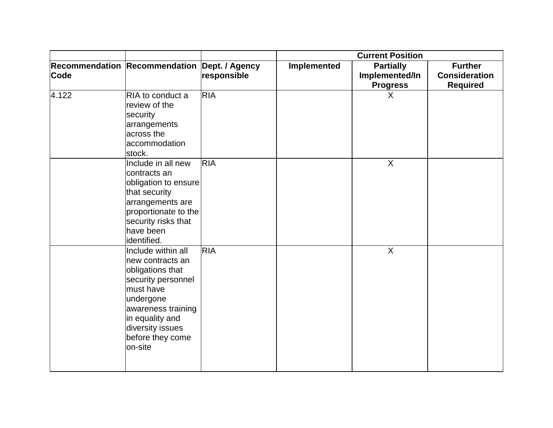|             |                                                                                                                                                                                                        |             | <b>Current Position</b> |                                                       |                                                           |
|-------------|--------------------------------------------------------------------------------------------------------------------------------------------------------------------------------------------------------|-------------|-------------------------|-------------------------------------------------------|-----------------------------------------------------------|
| <b>Code</b> | Recommendation Recommendation Dept. / Agency                                                                                                                                                           | responsible | Implemented             | <b>Partially</b><br>Implemented/In<br><b>Progress</b> | <b>Further</b><br><b>Consideration</b><br><b>Required</b> |
| 4.122       | RIA to conduct a<br>review of the<br>security<br>arrangements<br>across the<br>accommodation<br>stock.                                                                                                 | <b>RIA</b>  |                         | X                                                     |                                                           |
|             | Include in all new<br>contracts an<br>obligation to ensure<br>that security<br>arrangements are<br>proportionate to the<br>security risks that<br>have been<br>identified.                             | <b>RIA</b>  |                         | X                                                     |                                                           |
|             | Include within all<br>new contracts an<br>obligations that<br>security personnel<br>must have<br>undergone<br>awareness training<br>in equality and<br>diversity issues<br>before they come<br>on-site | <b>RIA</b>  |                         | $\overline{X}$                                        |                                                           |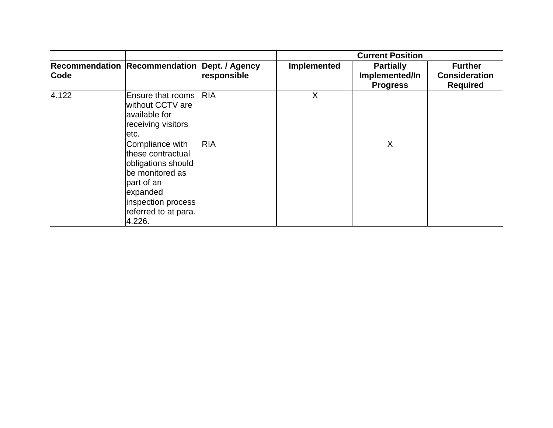|       |                                                                                                                                                                  |             | <b>Current Position</b> |                                                       |                                                           |
|-------|------------------------------------------------------------------------------------------------------------------------------------------------------------------|-------------|-------------------------|-------------------------------------------------------|-----------------------------------------------------------|
| Code  | Recommendation Recommendation Dept. / Agency                                                                                                                     | responsible | <b>Implemented</b>      | <b>Partially</b><br>Implemented/In<br><b>Progress</b> | <b>Further</b><br><b>Consideration</b><br><b>Required</b> |
| 4.122 | <b>Ensure that rooms</b><br>without CCTV are<br>available for<br>receiving visitors<br>etc.                                                                      | <b>RIA</b>  | Χ                       |                                                       |                                                           |
|       | Compliance with<br>lthese contractual<br>obligations should<br>be monitored as<br>part of an<br>expanded<br>inspection process<br>referred to at para.<br>4.226. | <b>RIA</b>  |                         | X                                                     |                                                           |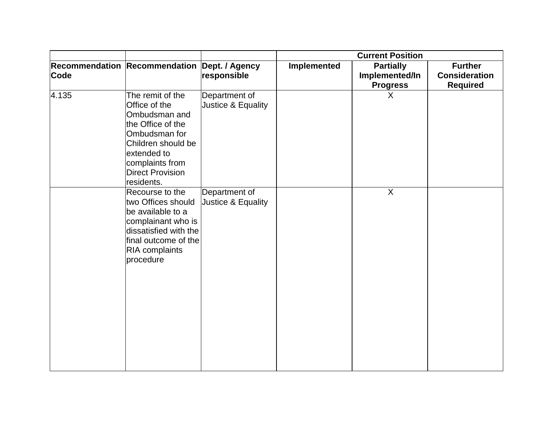|       |                                                                                                                                                                                           |                                     | <b>Current Position</b> |                                                       |                                                           |
|-------|-------------------------------------------------------------------------------------------------------------------------------------------------------------------------------------------|-------------------------------------|-------------------------|-------------------------------------------------------|-----------------------------------------------------------|
| Code  | Recommendation Recommendation Dept. / Agency                                                                                                                                              | responsible                         | Implemented             | <b>Partially</b><br>Implemented/In<br><b>Progress</b> | <b>Further</b><br><b>Consideration</b><br><b>Required</b> |
| 4.135 | The remit of the<br>Office of the<br>Ombudsman and<br>the Office of the<br>Ombudsman for<br>Children should be<br>extended to<br>complaints from<br><b>Direct Provision</b><br>residents. | Department of<br>Justice & Equality |                         | $\sf X$                                               |                                                           |
|       | Recourse to the<br>two Offices should<br>be available to a<br>complainant who is<br>dissatisfied with the<br>final outcome of the<br><b>RIA</b> complaints<br>procedure                   | Department of<br>Justice & Equality |                         | $\sf X$                                               |                                                           |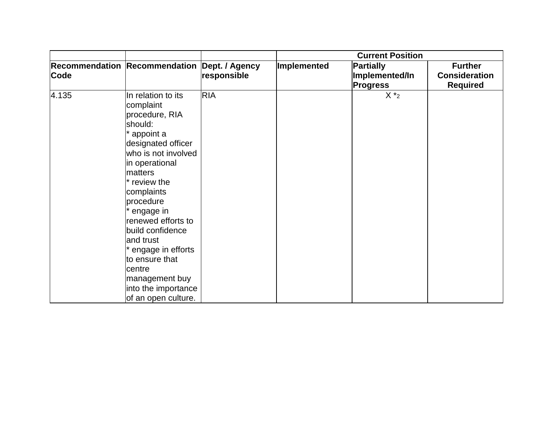|       |                                                                                                                                                                                                                                                                                                                                                                                     |             | <b>Current Position</b> |                                                |                                                           |
|-------|-------------------------------------------------------------------------------------------------------------------------------------------------------------------------------------------------------------------------------------------------------------------------------------------------------------------------------------------------------------------------------------|-------------|-------------------------|------------------------------------------------|-----------------------------------------------------------|
| Code  | Recommendation Recommendation Dept. / Agency                                                                                                                                                                                                                                                                                                                                        | responsible | Implemented             | Partially<br>Implemented/In<br><b>Progress</b> | <b>Further</b><br><b>Consideration</b><br><b>Required</b> |
| 4.135 | In relation to its<br>complaint<br>procedure, RIA<br>should:<br>appoint a<br>designated officer<br>who is not involved<br>in operational<br>matters<br>* review the<br>complaints<br>procedure<br>engage in<br>renewed efforts to<br>build confidence<br>and trust<br>engage in efforts<br>to ensure that<br>centre<br>management buy<br>into the importance<br>of an open culture. | <b>RIA</b>  |                         | $X *_{2}$                                      |                                                           |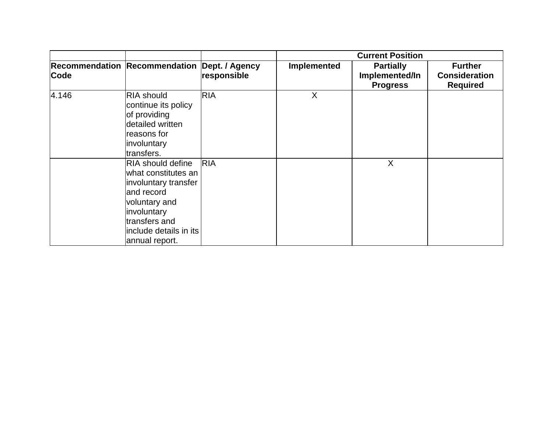|       |                                                                                                                                                                                    |                               | <b>Current Position</b> |                                                       |                                                           |
|-------|------------------------------------------------------------------------------------------------------------------------------------------------------------------------------------|-------------------------------|-------------------------|-------------------------------------------------------|-----------------------------------------------------------|
| Code  | <b>Recommendation Recommendation</b>                                                                                                                                               | Dept. / Agency<br>responsible | Implemented             | <b>Partially</b><br>Implemented/In<br><b>Progress</b> | <b>Further</b><br><b>Consideration</b><br><b>Required</b> |
| 4.146 | <b>RIA should</b><br>continue its policy<br>of providing<br>detailed written<br>reasons for<br>involuntary<br>transfers.                                                           | <b>RIA</b>                    | X                       |                                                       |                                                           |
|       | <b>RIA should define</b><br>what constitutes an<br>involuntary transfer<br>and record<br>voluntary and<br>involuntary<br>transfers and<br>include details in its<br>annual report. | <b>RIA</b>                    |                         | X                                                     |                                                           |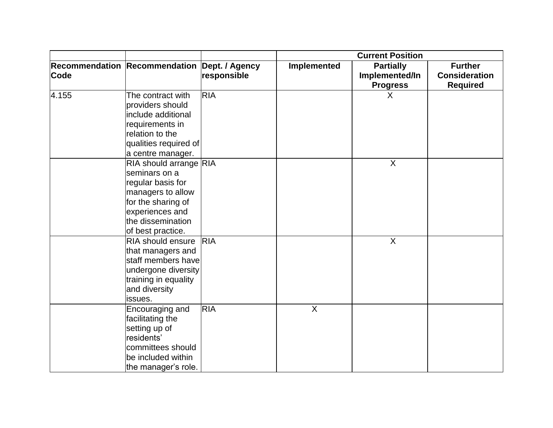| <b>Current Position</b> |                                                                                                                                                                                           |             |             |                                                       |                                                           |
|-------------------------|-------------------------------------------------------------------------------------------------------------------------------------------------------------------------------------------|-------------|-------------|-------------------------------------------------------|-----------------------------------------------------------|
| Code                    | Recommendation Recommendation Dept. / Agency                                                                                                                                              | responsible | Implemented | <b>Partially</b><br>Implemented/In<br><b>Progress</b> | <b>Further</b><br><b>Consideration</b><br><b>Required</b> |
| 4.155                   | The contract with<br>providers should<br>include additional<br>requirements in<br>relation to the<br>qualities required of                                                                | <b>RIA</b>  |             | $\sf X$                                               |                                                           |
|                         | a centre manager.<br>RIA should arrange RIA<br>seminars on a<br>regular basis for<br>managers to allow<br>for the sharing of<br>experiences and<br>the dissemination<br>of best practice. |             |             | $\sf X$                                               |                                                           |
|                         | <b>RIA should ensure</b><br>that managers and<br>staff members have<br>undergone diversity<br>training in equality<br>and diversity<br>issues.                                            | <b>RIA</b>  |             | $\sf X$                                               |                                                           |
|                         | Encouraging and<br>facilitating the<br>setting up of<br>residents'<br>committees should<br>be included within<br>the manager's role.                                                      | <b>RIA</b>  | $\sf X$     |                                                       |                                                           |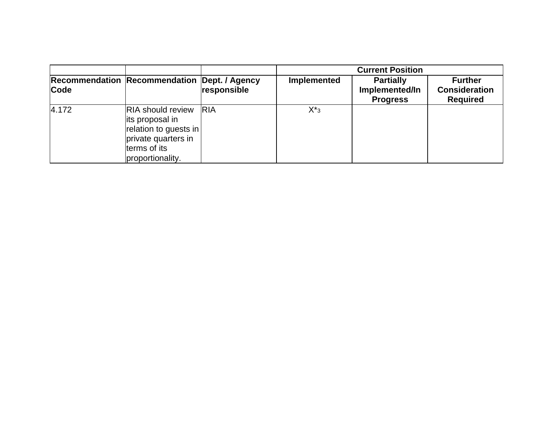|       |                                                                                                                                 |             | <b>Current Position</b> |                                                       |                                                           |
|-------|---------------------------------------------------------------------------------------------------------------------------------|-------------|-------------------------|-------------------------------------------------------|-----------------------------------------------------------|
| Code  | <b>Recommendation Recommendation Dept. / Agency</b>                                                                             | responsible | Implemented             | <b>Partially</b><br>Implemented/In<br><b>Progress</b> | <b>Further</b><br><b>Consideration</b><br><b>Required</b> |
| 4.172 | <b>RIA</b> should review<br>its proposal in<br>relation to guests in<br>private quarters in<br>terms of its<br>proportionality. | <b>RIA</b>  | $X^*$ <sub>3</sub>      |                                                       |                                                           |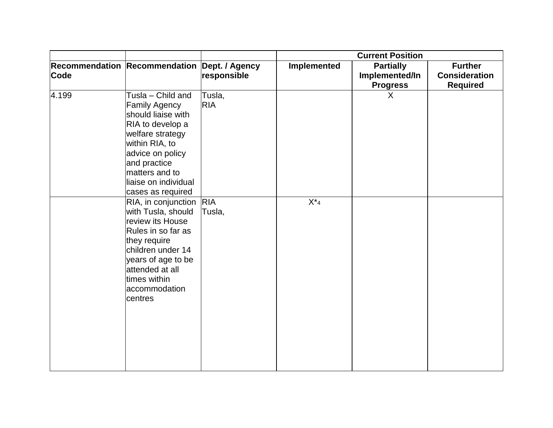|       |                                                                                                                                                                                                                              |                      | <b>Current Position</b> |                                                       |                                                           |
|-------|------------------------------------------------------------------------------------------------------------------------------------------------------------------------------------------------------------------------------|----------------------|-------------------------|-------------------------------------------------------|-----------------------------------------------------------|
| Code  | Recommendation Recommendation Dept. / Agency                                                                                                                                                                                 | responsible          | <b>Implemented</b>      | <b>Partially</b><br>Implemented/In<br><b>Progress</b> | <b>Further</b><br><b>Consideration</b><br><b>Required</b> |
| 4.199 | Tusla - Child and<br><b>Family Agency</b><br>should liaise with<br>RIA to develop a<br>welfare strategy<br>within RIA, to<br>advice on policy<br>and practice<br>matters and to<br>liaise on individual<br>cases as required | Tusla,<br><b>RIA</b> |                         | $\sf X$                                               |                                                           |
|       | RIA, in conjunction RIA<br>with Tusla, should<br>review its House<br>Rules in so far as<br>they require<br>children under 14<br>years of age to be<br>attended at all<br>times within<br>accommodation<br>centres            | Tusla,               | $X^*$ 4                 |                                                       |                                                           |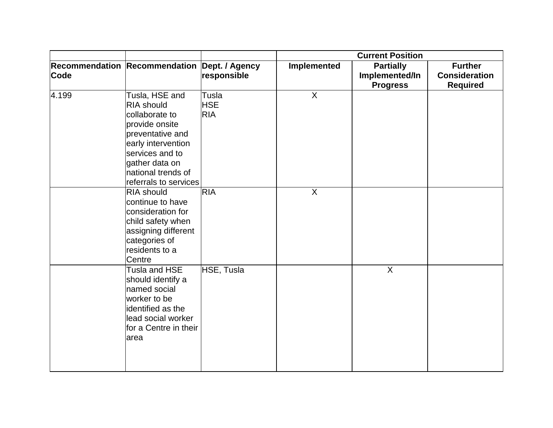|             |                                                                                                                                                                                                       |                                   | <b>Current Position</b> |                                                       |                                                           |
|-------------|-------------------------------------------------------------------------------------------------------------------------------------------------------------------------------------------------------|-----------------------------------|-------------------------|-------------------------------------------------------|-----------------------------------------------------------|
| <b>Code</b> | Recommendation Recommendation Dept. / Agency                                                                                                                                                          | responsible                       | Implemented             | <b>Partially</b><br>Implemented/In<br><b>Progress</b> | <b>Further</b><br><b>Consideration</b><br><b>Required</b> |
| 4.199       | Tusla, HSE and<br><b>RIA should</b><br>collaborate to<br>provide onsite<br>preventative and<br>early intervention<br>services and to<br>gather data on<br>national trends of<br>referrals to services | Tusla<br><b>HSE</b><br><b>RIA</b> | $\sf X$                 |                                                       |                                                           |
|             | <b>RIA should</b><br>continue to have<br>consideration for<br>child safety when<br>assigning different<br>categories of<br>residents to a<br>Centre                                                   | <b>RIA</b>                        | $\sf X$                 |                                                       |                                                           |
|             | Tusla and HSE<br>should identify a<br>named social<br>worker to be<br>identified as the<br>lead social worker<br>for a Centre in their<br>area                                                        | HSE, Tusla                        |                         | $\mathsf{X}$                                          |                                                           |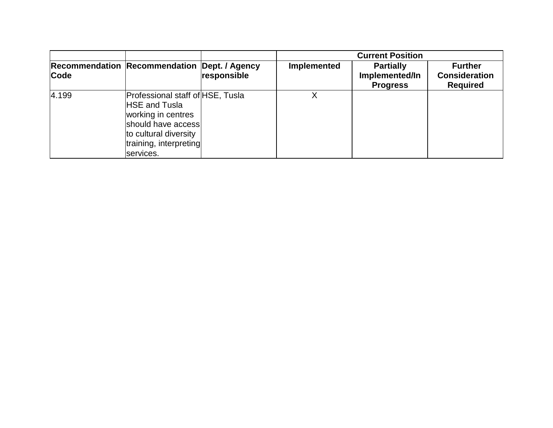|       |                                                                                                                                                                      |                               | <b>Current Position</b> |                                                       |                                                           |
|-------|----------------------------------------------------------------------------------------------------------------------------------------------------------------------|-------------------------------|-------------------------|-------------------------------------------------------|-----------------------------------------------------------|
| Code  | <b>Recommendation Recommendation</b>                                                                                                                                 | Dept. / Agency<br>responsible | Implemented             | <b>Partially</b><br>Implemented/In<br><b>Progress</b> | <b>Further</b><br><b>Consideration</b><br><b>Required</b> |
| 4.199 | Professional staff of HSE, Tusla<br><b>HSE and Tusla</b><br>working in centres<br>should have access<br>to cultural diversity<br>training, interpreting<br>services. |                               |                         |                                                       |                                                           |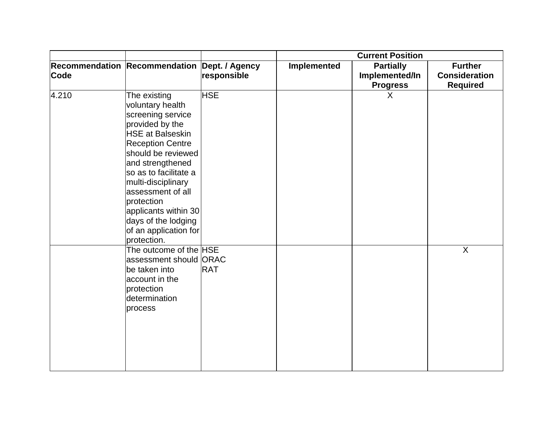|       |                                                                                                                                                                                                                                                                                                                                                   |             | <b>Current Position</b> |                                                       |                                                           |
|-------|---------------------------------------------------------------------------------------------------------------------------------------------------------------------------------------------------------------------------------------------------------------------------------------------------------------------------------------------------|-------------|-------------------------|-------------------------------------------------------|-----------------------------------------------------------|
| Code  | Recommendation Recommendation Dept. / Agency                                                                                                                                                                                                                                                                                                      | responsible | Implemented             | <b>Partially</b><br>Implemented/In<br><b>Progress</b> | <b>Further</b><br><b>Consideration</b><br><b>Required</b> |
| 4.210 | The existing<br>voluntary health<br>screening service<br>provided by the<br><b>HSE at Balseskin</b><br><b>Reception Centre</b><br>should be reviewed<br>and strengthened<br>so as to facilitate a<br>multi-disciplinary<br>assessment of all<br>protection<br>applicants within 30<br>days of the lodging<br>of an application for<br>protection. | <b>HSE</b>  |                         | X                                                     |                                                           |
|       | The outcome of the HSE<br>assessment should ORAC<br>be taken into<br>account in the<br>protection<br>determination<br>process                                                                                                                                                                                                                     | <b>RAT</b>  |                         |                                                       | $\overline{X}$                                            |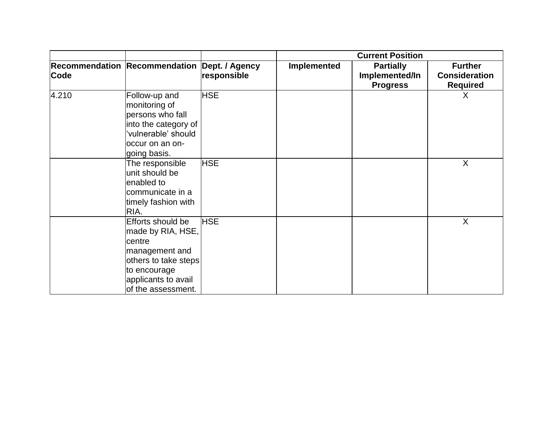|       |                                                                                                                                                         |             | <b>Current Position</b> |                                                       |                                                           |
|-------|---------------------------------------------------------------------------------------------------------------------------------------------------------|-------------|-------------------------|-------------------------------------------------------|-----------------------------------------------------------|
| Code  | Recommendation Recommendation Dept. / Agency                                                                                                            | responsible | Implemented             | <b>Partially</b><br>Implemented/In<br><b>Progress</b> | <b>Further</b><br><b>Consideration</b><br><b>Required</b> |
| 4.210 | Follow-up and<br>monitoring of<br>persons who fall<br>into the category of<br>vulnerable' should<br>occur on an on-<br>going basis.                     | <b>HSE</b>  |                         |                                                       | X                                                         |
|       | The responsible<br>unit should be<br>enabled to<br>communicate in a<br>timely fashion with<br>RIA.                                                      | <b>HSE</b>  |                         |                                                       | X                                                         |
|       | Efforts should be<br>made by RIA, HSE,<br>centre<br>management and<br>others to take steps<br>to encourage<br>applicants to avail<br>of the assessment. | <b>HSE</b>  |                         |                                                       | X                                                         |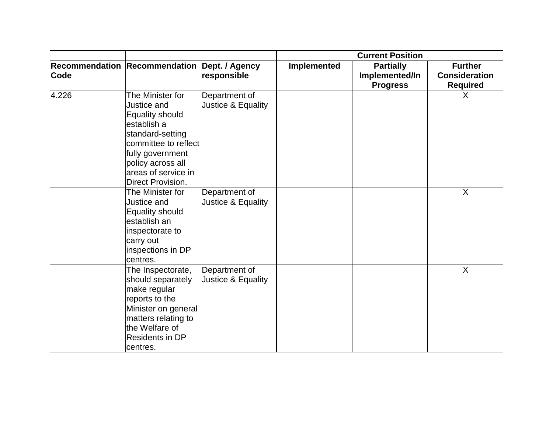|       |                                                                                                                                                                                                           |                                     | <b>Current Position</b> |                                                       |                                                           |
|-------|-----------------------------------------------------------------------------------------------------------------------------------------------------------------------------------------------------------|-------------------------------------|-------------------------|-------------------------------------------------------|-----------------------------------------------------------|
| Code  | Recommendation Recommendation Dept. / Agency                                                                                                                                                              | responsible                         | Implemented             | <b>Partially</b><br>Implemented/In<br><b>Progress</b> | <b>Further</b><br><b>Consideration</b><br><b>Required</b> |
| 4.226 | The Minister for<br>Justice and<br><b>Equality should</b><br>establish a<br>standard-setting<br>committee to reflect<br>fully government<br>policy across all<br>areas of service in<br>Direct Provision. | Department of<br>Justice & Equality |                         |                                                       | $\sf X$                                                   |
|       | The Minister for<br>Justice and<br>Equality should<br>establish an<br>inspectorate to<br>carry out<br>inspections in DP<br>centres.                                                                       | Department of<br>Justice & Equality |                         |                                                       | $\sf X$                                                   |
|       | The Inspectorate,<br>should separately<br>make regular<br>reports to the<br>Minister on general<br>matters relating to<br>the Welfare of<br>Residents in DP<br>centres.                                   | Department of<br>Justice & Equality |                         |                                                       | X                                                         |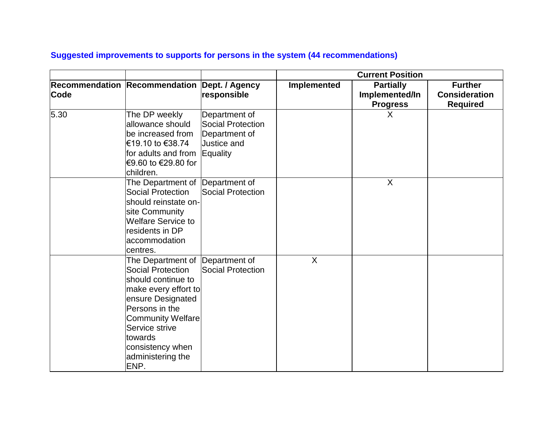|      |                                                                                                                                                                                                                                                            |                                                                    | <b>Current Position</b> |                                                       |                                                           |
|------|------------------------------------------------------------------------------------------------------------------------------------------------------------------------------------------------------------------------------------------------------------|--------------------------------------------------------------------|-------------------------|-------------------------------------------------------|-----------------------------------------------------------|
| Code | Recommendation Recommendation Dept. / Agency                                                                                                                                                                                                               | responsible                                                        | Implemented             | <b>Partially</b><br>Implemented/In<br><b>Progress</b> | <b>Further</b><br><b>Consideration</b><br><b>Required</b> |
| 5.30 | The DP weekly<br>allowance should<br>be increased from<br>€19.10 to €38.74<br>for adults and from Equality<br>€9.60 to €29.80 for<br>children.                                                                                                             | Department of<br>Social Protection<br>Department of<br>Justice and |                         | X                                                     |                                                           |
|      | The Department of Department of<br><b>Social Protection</b><br>should reinstate on-<br>site Community<br><b>Welfare Service to</b><br>residents in DP<br>accommodation<br>centres.                                                                         | Social Protection                                                  |                         | $\sf X$                                               |                                                           |
|      | The Department of Department of<br><b>Social Protection</b><br>should continue to<br>make every effort to<br>ensure Designated<br>Persons in the<br><b>Community Welfare</b><br>Service strive<br>towards<br>consistency when<br>administering the<br>ENP. | Social Protection                                                  | $\sf X$                 |                                                       |                                                           |

## **Suggested improvements to supports for persons in the system (44 recommendations)**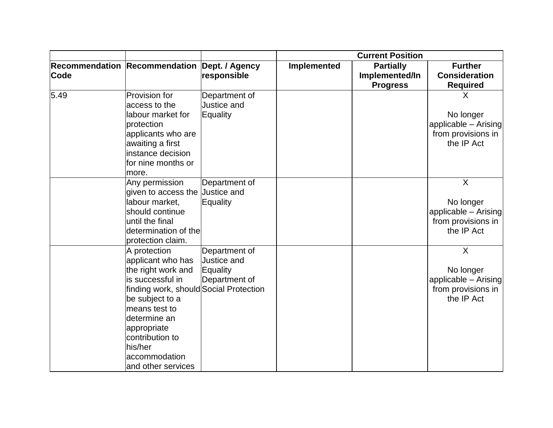|             |                                                                                                                                                                                                                                                               |                                                           | <b>Current Position</b> |                                                       |                                                                                                    |
|-------------|---------------------------------------------------------------------------------------------------------------------------------------------------------------------------------------------------------------------------------------------------------------|-----------------------------------------------------------|-------------------------|-------------------------------------------------------|----------------------------------------------------------------------------------------------------|
| <b>Code</b> | <b>Recommendation Recommendation Dept. / Agency</b>                                                                                                                                                                                                           | responsible                                               | Implemented             | <b>Partially</b><br>Implemented/In<br><b>Progress</b> | <b>Further</b><br><b>Consideration</b><br><b>Required</b>                                          |
| 5.49        | Provision for<br>access to the<br>labour market for<br>protection<br>applicants who are<br>awaiting a first<br>instance decision<br>for nine months or<br>more.                                                                                               | Department of<br>Justice and<br>Equality                  |                         |                                                       | X<br>No longer<br>applicable - Arising<br>from provisions in<br>the IP Act                         |
|             | Any permission<br>given to access the<br>labour market,<br>should continue<br>until the final<br>determination of the<br>protection claim.                                                                                                                    | Department of<br>Justice and<br>Equality                  |                         |                                                       | $\overline{\mathsf{x}}$<br>No longer<br>applicable - Arising<br>from provisions in<br>the IP Act   |
|             | A protection<br>applicant who has<br>the right work and<br>is successful in<br>finding work, should Social Protection<br>be subject to a<br>means test to<br>determine an<br>appropriate<br>contribution to<br>his/her<br>accommodation<br>and other services | Department of<br>Justice and<br>Equality<br>Department of |                         |                                                       | $\boldsymbol{\mathsf{X}}$<br>No longer<br>applicable - Arising<br>from provisions in<br>the IP Act |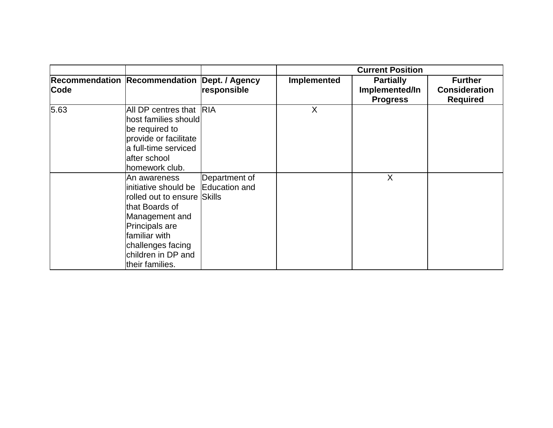|      |                                                                                                                                                                                                                        | <b>Current Position</b>       |             |                                                       |                                                           |
|------|------------------------------------------------------------------------------------------------------------------------------------------------------------------------------------------------------------------------|-------------------------------|-------------|-------------------------------------------------------|-----------------------------------------------------------|
| Code | <b>Recommendation Recommendation</b>                                                                                                                                                                                   | Dept. / Agency<br>responsible | Implemented | <b>Partially</b><br>Implemented/In<br><b>Progress</b> | <b>Further</b><br><b>Consideration</b><br><b>Required</b> |
| 5.63 | All DP centres that RIA<br>host families should<br>be required to<br>provide or facilitate<br>a full-time serviced<br>after school<br>homework club.                                                                   |                               | X           |                                                       |                                                           |
|      | An awareness<br>initiative should be Education and<br>rolled out to ensure Skills<br>that Boards of<br>Management and<br>Principals are<br>familiar with<br>challenges facing<br>children in DP and<br>their families. | Department of                 |             | X                                                     |                                                           |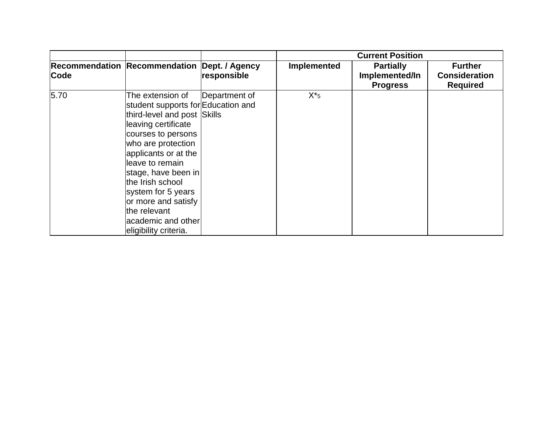|      |                                                                                                                                                                                                                                                                                                                                                              |               | <b>Current Position</b> |                                                       |                                                           |
|------|--------------------------------------------------------------------------------------------------------------------------------------------------------------------------------------------------------------------------------------------------------------------------------------------------------------------------------------------------------------|---------------|-------------------------|-------------------------------------------------------|-----------------------------------------------------------|
| Code | Recommendation Recommendation Dept. / Agency                                                                                                                                                                                                                                                                                                                 | responsible   | <b>Implemented</b>      | <b>Partially</b><br>Implemented/In<br><b>Progress</b> | <b>Further</b><br><b>Consideration</b><br><b>Required</b> |
| 5.70 | The extension of<br>student supports for Education and<br>third-level and post Skills<br>leaving certificate<br>courses to persons<br>who are protection<br>applicants or at the<br>lleave to remain<br>stage, have been in<br>the Irish school<br>system for 5 years<br>or more and satisfy<br>the relevant<br>academic and otherl<br>eligibility criteria. | Department of | $X^*$ 5                 |                                                       |                                                           |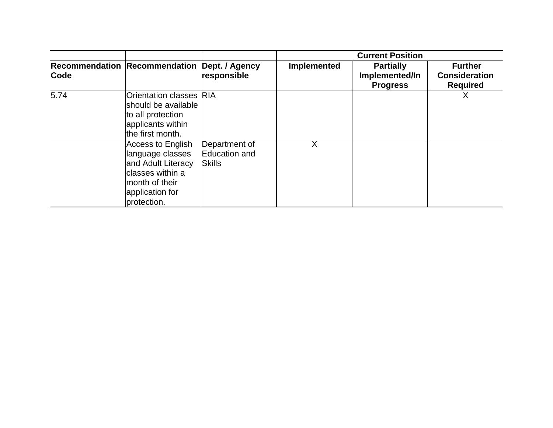|      |                                                                                                                                      |                                                 | <b>Current Position</b> |                                                       |                                                           |
|------|--------------------------------------------------------------------------------------------------------------------------------------|-------------------------------------------------|-------------------------|-------------------------------------------------------|-----------------------------------------------------------|
| Code | Recommendation Recommendation Dept. / Agency                                                                                         | responsible                                     | Implemented             | <b>Partially</b><br>Implemented/In<br><b>Progress</b> | <b>Further</b><br><b>Consideration</b><br><b>Required</b> |
| 5.74 | <b>Orientation classes RIA</b><br>should be available<br>to all protection<br>applicants within<br>the first month.                  |                                                 |                         |                                                       | Χ                                                         |
|      | Access to English<br>language classes<br>and Adult Literacy<br>lclasses within a<br>month of their<br>application for<br>protection. | Department of<br>Education and<br><b>Skills</b> | X                       |                                                       |                                                           |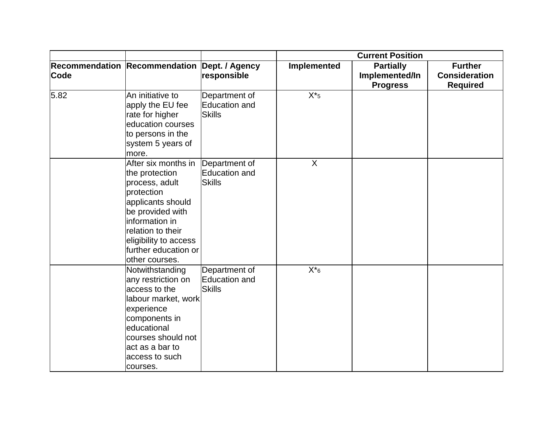|             |                                                                                                                                                                                                                          |                                                 | <b>Current Position</b> |                                                       |                                                           |
|-------------|--------------------------------------------------------------------------------------------------------------------------------------------------------------------------------------------------------------------------|-------------------------------------------------|-------------------------|-------------------------------------------------------|-----------------------------------------------------------|
| <b>Code</b> | Recommendation Recommendation Dept. / Agency                                                                                                                                                                             | responsible                                     | <b>Implemented</b>      | <b>Partially</b><br>Implemented/In<br><b>Progress</b> | <b>Further</b><br><b>Consideration</b><br><b>Required</b> |
| 5.82        | An initiative to<br>apply the EU fee<br>rate for higher<br>education courses<br>to persons in the<br>system 5 years of<br>more.                                                                                          | Department of<br>Education and<br><b>Skills</b> | $X^*$ 5                 |                                                       |                                                           |
|             | After six months in<br>the protection<br>process, adult<br>protection<br>applicants should<br>be provided with<br>information in<br>relation to their<br>eligibility to access<br>further education or<br>other courses. | Department of<br>Education and<br><b>Skills</b> | X                       |                                                       |                                                           |
|             | Notwithstanding<br>any restriction on<br>access to the<br>labour market, work<br>experience<br>components in<br>educational<br>courses should not<br>act as a bar to<br>access to such<br>courses.                       | Department of<br>Education and<br><b>Skills</b> | $X^*$ 6                 |                                                       |                                                           |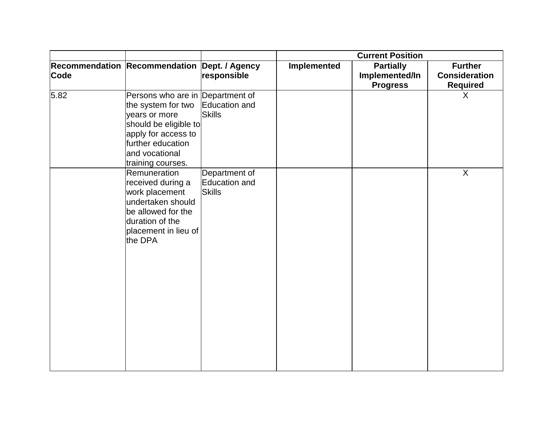|      |                                                                                                                                                                                     |                                                 | <b>Current Position</b> |                                                       |                                                           |
|------|-------------------------------------------------------------------------------------------------------------------------------------------------------------------------------------|-------------------------------------------------|-------------------------|-------------------------------------------------------|-----------------------------------------------------------|
| Code | Recommendation Recommendation Dept. / Agency                                                                                                                                        | responsible                                     | Implemented             | <b>Partially</b><br>Implemented/In<br><b>Progress</b> | <b>Further</b><br><b>Consideration</b><br><b>Required</b> |
| 5.82 | Persons who are in Department of<br>the system for two<br>years or more<br>should be eligible to<br>apply for access to<br>further education<br>and vocational<br>training courses. | Education and<br><b>Skills</b>                  |                         |                                                       | $\sf X$                                                   |
|      | Remuneration<br>received during a<br>work placement<br>undertaken should<br>be allowed for the<br>duration of the<br>placement in lieu of<br>the DPA                                | Department of<br>Education and<br><b>Skills</b> |                         |                                                       | $\overline{X}$                                            |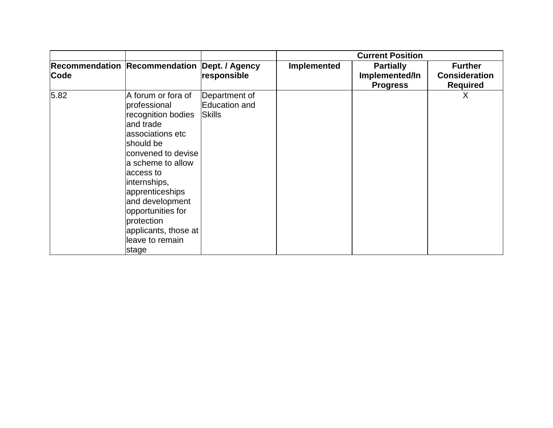|      |                                                                                                                                                                                                                                                                                                             |                                          | <b>Current Position</b> |                                                       |                                                           |
|------|-------------------------------------------------------------------------------------------------------------------------------------------------------------------------------------------------------------------------------------------------------------------------------------------------------------|------------------------------------------|-------------------------|-------------------------------------------------------|-----------------------------------------------------------|
| Code | <b>Recommendation Recommendation</b>                                                                                                                                                                                                                                                                        | Dept. / Agency<br>responsible            | Implemented             | <b>Partially</b><br>Implemented/In<br><b>Progress</b> | <b>Further</b><br><b>Consideration</b><br><b>Required</b> |
| 5.82 | A forum or fora of<br>professional<br>recognition bodies<br>and trade<br>associations etc<br>should be<br>convened to devise<br>a scheme to allow<br>access to<br>internships,<br>apprenticeships<br>and development<br>opportunities for<br>protection<br>applicants, those at<br>leave to remain<br>stage | Department of<br>Education and<br>Skills |                         |                                                       | X                                                         |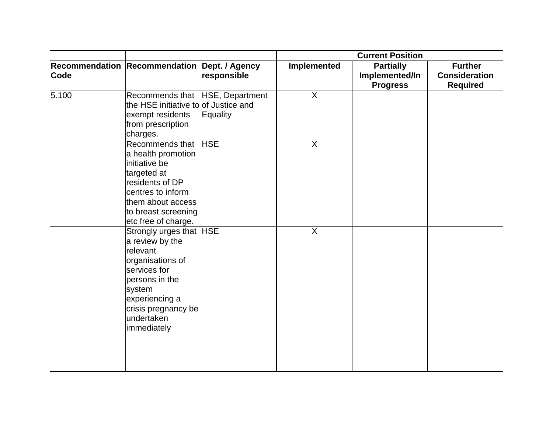|             |                                                                                                                                                                                              |             | <b>Current Position</b> |                                                       |                                                           |
|-------------|----------------------------------------------------------------------------------------------------------------------------------------------------------------------------------------------|-------------|-------------------------|-------------------------------------------------------|-----------------------------------------------------------|
| <b>Code</b> | Recommendation Recommendation Dept. / Agency                                                                                                                                                 | responsible | Implemented             | <b>Partially</b><br>Implemented/In<br><b>Progress</b> | <b>Further</b><br><b>Consideration</b><br><b>Required</b> |
| 5.100       | Recommends that HSE, Department<br>the HSE initiative to of Justice and<br>exempt residents<br>from prescription<br>charges.                                                                 | Equality    | $\sf X$                 |                                                       |                                                           |
|             | Recommends that<br>a health promotion<br>initiative be<br>targeted at<br>residents of DP<br>centres to inform<br>them about access<br>to breast screening<br>etc free of charge.             | <b>HSE</b>  | $\sf X$                 |                                                       |                                                           |
|             | Strongly urges that HSE<br>a review by the<br>relevant<br>organisations of<br>services for<br>persons in the<br>system<br>experiencing a<br>crisis pregnancy be<br>undertaken<br>immediately |             | $\sf X$                 |                                                       |                                                           |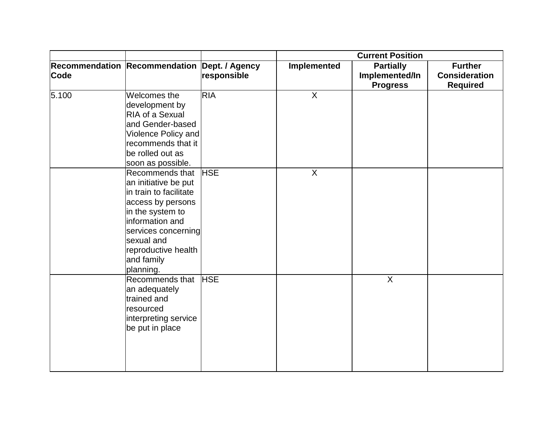|       |                                                                                                                                                                                                                      |             | <b>Current Position</b> |                                                       |                                                           |
|-------|----------------------------------------------------------------------------------------------------------------------------------------------------------------------------------------------------------------------|-------------|-------------------------|-------------------------------------------------------|-----------------------------------------------------------|
| Code  | Recommendation Recommendation Dept. / Agency                                                                                                                                                                         | responsible | Implemented             | <b>Partially</b><br>Implemented/In<br><b>Progress</b> | <b>Further</b><br><b>Consideration</b><br><b>Required</b> |
| 5.100 | Welcomes the<br>development by<br>RIA of a Sexual<br>and Gender-based<br>Violence Policy and<br>recommends that it<br>be rolled out as<br>soon as possible.                                                          | <b>RIA</b>  | $\sf X$                 |                                                       |                                                           |
|       | Recommends that<br>an initiative be put<br>in train to facilitate<br>access by persons<br>in the system to<br>information and<br>services concerning<br>sexual and<br>reproductive health<br>and family<br>planning. | <b>HSE</b>  | $\overline{X}$          |                                                       |                                                           |
|       | Recommends that<br>an adequately<br>trained and<br>resourced<br>interpreting service<br>be put in place                                                                                                              | <b>HSE</b>  |                         | $\overline{X}$                                        |                                                           |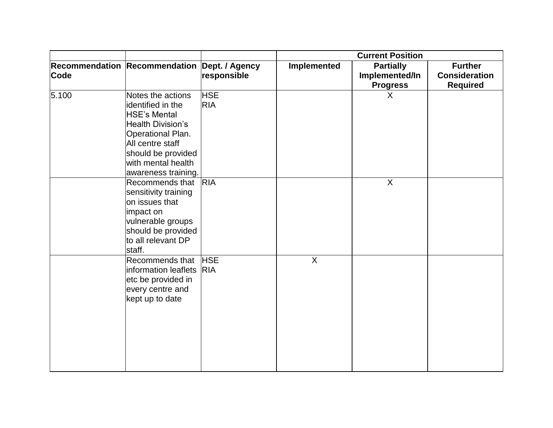|       |                                                                                                                                                                                                       |                          | <b>Current Position</b> |                                                       |                                                           |
|-------|-------------------------------------------------------------------------------------------------------------------------------------------------------------------------------------------------------|--------------------------|-------------------------|-------------------------------------------------------|-----------------------------------------------------------|
| Code  | Recommendation Recommendation Dept. / Agency                                                                                                                                                          | responsible              | Implemented             | <b>Partially</b><br>Implemented/In<br><b>Progress</b> | <b>Further</b><br><b>Consideration</b><br><b>Required</b> |
| 5.100 | Notes the actions<br>identified in the<br><b>HSE's Mental</b><br><b>Health Division's</b><br>Operational Plan.<br>All centre staff<br>should be provided<br>with mental health<br>awareness training. | <b>HSE</b><br><b>RIA</b> |                         | X                                                     |                                                           |
|       | Recommends that<br>sensitivity training<br>on issues that<br>impact on<br>vulnerable groups<br>should be provided<br>to all relevant DP<br>staff.                                                     | <b>RIA</b>               |                         | $\overline{X}$                                        |                                                           |
|       | Recommends that<br>information leaflets RIA<br>etc be provided in<br>every centre and<br>kept up to date                                                                                              | <b>HSE</b>               | $\boldsymbol{X}$        |                                                       |                                                           |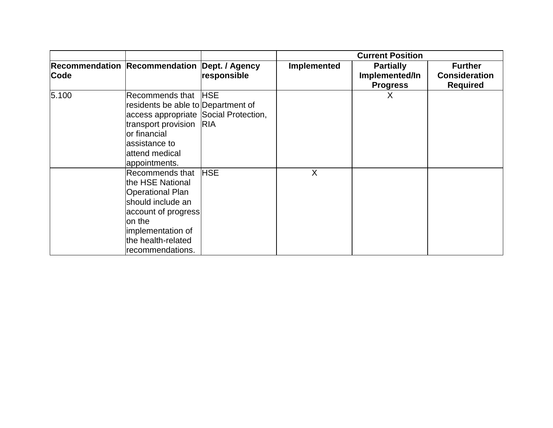|       |                                                                                                                                                                                                     |             | <b>Current Position</b> |                                                       |                                                           |
|-------|-----------------------------------------------------------------------------------------------------------------------------------------------------------------------------------------------------|-------------|-------------------------|-------------------------------------------------------|-----------------------------------------------------------|
| Code  | Recommendation Recommendation Dept. / Agency                                                                                                                                                        | responsible | Implemented             | <b>Partially</b><br>Implemented/In<br><b>Progress</b> | <b>Further</b><br><b>Consideration</b><br><b>Required</b> |
| 5.100 | Recommends that HSE<br>residents be able to Department of<br>access appropriate Social Protection,<br>transport provision RIA<br>lor financial<br>assistance to<br>lattend medical<br>appointments. |             |                         | X                                                     |                                                           |
|       | Recommends that<br>the HSE National<br>Operational Plan<br>should include an<br>account of progress<br>on the<br>implementation of<br>the health-related<br>recommendations.                        | <b>HSE</b>  | X                       |                                                       |                                                           |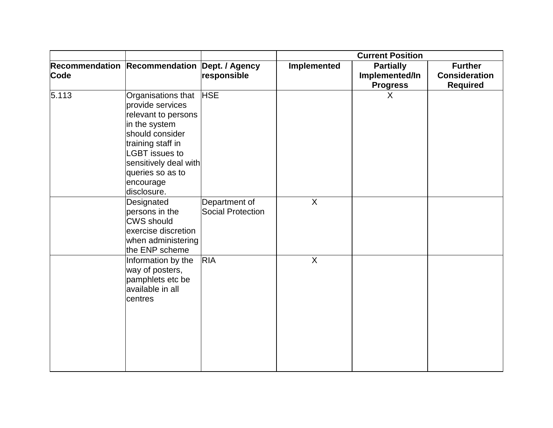|       |                                                                                                                                                                                                                          |                                           | <b>Current Position</b> |                                                       |                                                           |
|-------|--------------------------------------------------------------------------------------------------------------------------------------------------------------------------------------------------------------------------|-------------------------------------------|-------------------------|-------------------------------------------------------|-----------------------------------------------------------|
| Code  | Recommendation Recommendation Dept. / Agency                                                                                                                                                                             | responsible                               | Implemented             | <b>Partially</b><br>Implemented/In<br><b>Progress</b> | <b>Further</b><br><b>Consideration</b><br><b>Required</b> |
| 5.113 | Organisations that<br>provide services<br>relevant to persons<br>in the system<br>should consider<br>training staff in<br><b>LGBT</b> issues to<br>sensitively deal with<br>queries so as to<br>encourage<br>disclosure. | <b>HSE</b>                                |                         | X                                                     |                                                           |
|       | Designated<br>persons in the<br><b>CWS</b> should<br>exercise discretion<br>when administering<br>the ENP scheme                                                                                                         | Department of<br><b>Social Protection</b> | $\sf X$                 |                                                       |                                                           |
|       | Information by the<br>way of posters,<br>pamphlets etc be<br>available in all<br>centres                                                                                                                                 | <b>RIA</b>                                | $\sf X$                 |                                                       |                                                           |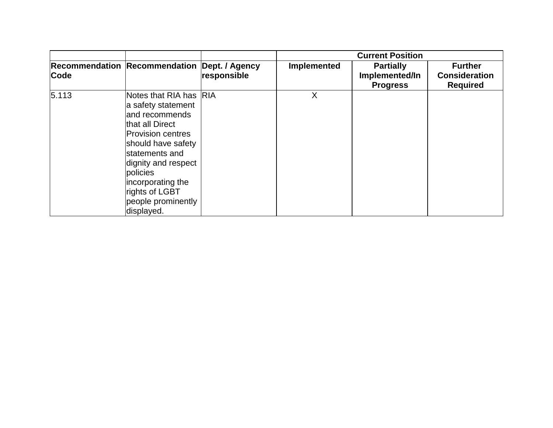|       |                                                                                                                                                                                                                                                                      |             | <b>Current Position</b> |                                                       |                                                           |
|-------|----------------------------------------------------------------------------------------------------------------------------------------------------------------------------------------------------------------------------------------------------------------------|-------------|-------------------------|-------------------------------------------------------|-----------------------------------------------------------|
| Code  | Recommendation Recommendation Dept. / Agency                                                                                                                                                                                                                         | responsible | Implemented             | <b>Partially</b><br>Implemented/In<br><b>Progress</b> | <b>Further</b><br><b>Consideration</b><br><b>Required</b> |
| 5.113 | Notes that RIA has RIA<br>a safety statement<br>land recommends<br>that all Direct<br><b>Provision centres</b><br>should have safety<br>statements and<br>dignity and respect<br>policies<br>incorporating the<br>rights of LGBT<br>people prominently<br>displayed. |             | X                       |                                                       |                                                           |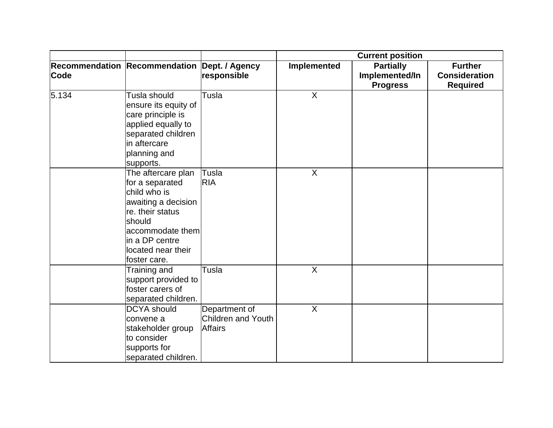|       |                                                                                                                                                                                        |                                                       | <b>Current position</b> |                                                       |                                                           |
|-------|----------------------------------------------------------------------------------------------------------------------------------------------------------------------------------------|-------------------------------------------------------|-------------------------|-------------------------------------------------------|-----------------------------------------------------------|
| Code  | Recommendation Recommendation Dept. / Agency                                                                                                                                           | responsible                                           | Implemented             | <b>Partially</b><br>Implemented/In<br><b>Progress</b> | <b>Further</b><br><b>Consideration</b><br><b>Required</b> |
| 5.134 | Tusla should<br>ensure its equity of<br>care principle is<br>applied equally to<br>separated children<br>in aftercare<br>planning and<br>supports.                                     | Tusla                                                 | $\sf X$                 |                                                       |                                                           |
|       | The aftercare plan<br>for a separated<br>child who is<br>awaiting a decision<br>re. their status<br>should<br>accommodate them<br>in a DP centre<br>located near their<br>foster care. | Tusla<br>RIA                                          | X                       |                                                       |                                                           |
|       | Training and<br>support provided to<br>foster carers of<br>separated children.                                                                                                         | Tusla                                                 | $\sf X$                 |                                                       |                                                           |
|       | <b>DCYA</b> should<br>convene a<br>stakeholder group<br>to consider<br>supports for<br>separated children.                                                                             | Department of<br>Children and Youth<br><b>Affairs</b> | $\overline{X}$          |                                                       |                                                           |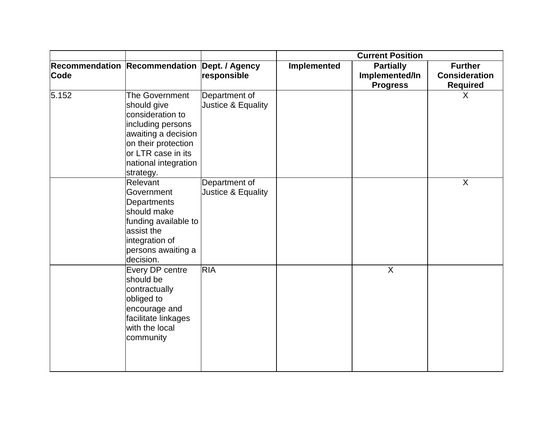|             |                                                                                                                                                                                 |                                     | <b>Current Position</b> |                                                       |                                                           |
|-------------|---------------------------------------------------------------------------------------------------------------------------------------------------------------------------------|-------------------------------------|-------------------------|-------------------------------------------------------|-----------------------------------------------------------|
| <b>Code</b> | Recommendation Recommendation Dept. / Agency                                                                                                                                    | responsible                         | Implemented             | <b>Partially</b><br>Implemented/In<br><b>Progress</b> | <b>Further</b><br><b>Consideration</b><br><b>Required</b> |
| 5.152       | The Government<br>should give<br>consideration to<br>including persons<br>awaiting a decision<br>on their protection<br>or LTR case in its<br>national integration<br>strategy. | Department of<br>Justice & Equality |                         |                                                       | $\sf X$                                                   |
|             | Relevant<br>Government<br>Departments<br>should make<br>funding available to<br>assist the<br>integration of<br>persons awaiting a<br>decision.                                 | Department of<br>Justice & Equality |                         |                                                       | X                                                         |
|             | Every DP centre<br>should be<br>contractually<br>obliged to<br>encourage and<br>facilitate linkages<br>with the local<br>community                                              | <b>RIA</b>                          |                         | X                                                     |                                                           |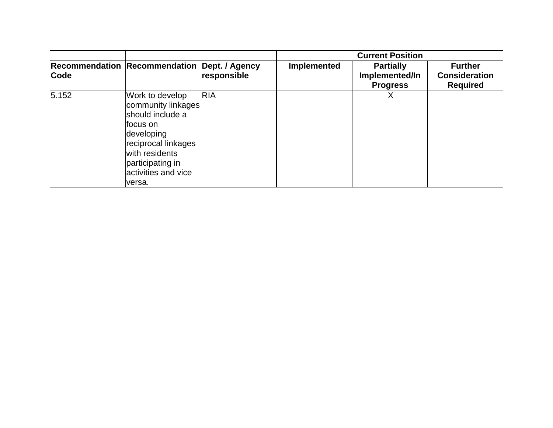|       |                                                                                                                                                                                    |             | <b>Current Position</b> |                                                       |                                                           |
|-------|------------------------------------------------------------------------------------------------------------------------------------------------------------------------------------|-------------|-------------------------|-------------------------------------------------------|-----------------------------------------------------------|
| Code  | Recommendation Recommendation Dept. / Agency                                                                                                                                       | responsible | <b>Implemented</b>      | <b>Partially</b><br>Implemented/In<br><b>Progress</b> | <b>Further</b><br><b>Consideration</b><br><b>Required</b> |
| 5.152 | Work to develop<br>community linkages<br>should include a<br>focus on<br>developing<br>reciprocal linkages<br>with residents<br>participating in<br>activities and vice<br>lversa. | <b>RIA</b>  |                         | X                                                     |                                                           |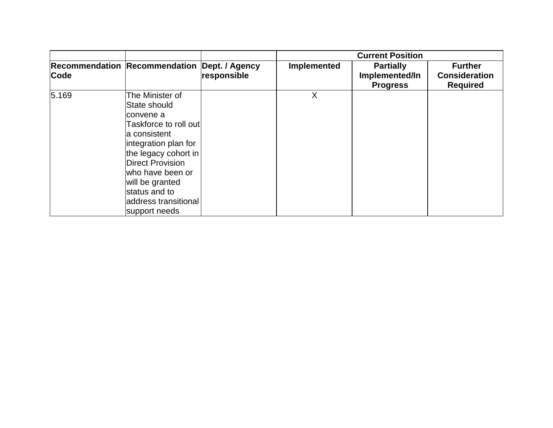|       |                                                                                                                                                                                                                                                              |             | <b>Current Position</b> |                                                       |                                                           |
|-------|--------------------------------------------------------------------------------------------------------------------------------------------------------------------------------------------------------------------------------------------------------------|-------------|-------------------------|-------------------------------------------------------|-----------------------------------------------------------|
| Code  | Recommendation Recommendation Dept. / Agency                                                                                                                                                                                                                 | responsible | Implemented             | <b>Partially</b><br>Implemented/In<br><b>Progress</b> | <b>Further</b><br><b>Consideration</b><br><b>Required</b> |
| 5.169 | The Minister of<br>State should<br>convene a<br>Taskforce to roll outl<br>a consistent<br>integration plan for<br>the legacy cohort in<br>Direct Provision<br>lwho have been or<br>will be granted<br>status and to<br>address transitional<br>support needs |             | X                       |                                                       |                                                           |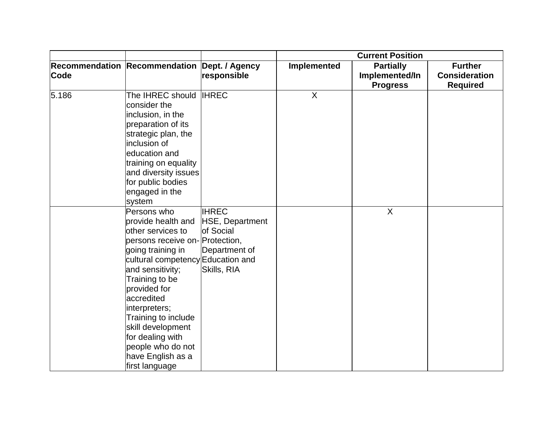|       |                                                                                                                                                                                                                                                                                                                                                                     |                                                                              | <b>Current Position</b> |                                                       |                                                           |
|-------|---------------------------------------------------------------------------------------------------------------------------------------------------------------------------------------------------------------------------------------------------------------------------------------------------------------------------------------------------------------------|------------------------------------------------------------------------------|-------------------------|-------------------------------------------------------|-----------------------------------------------------------|
| Code  | Recommendation Recommendation Dept. / Agency                                                                                                                                                                                                                                                                                                                        | responsible                                                                  | Implemented             | <b>Partially</b><br>Implemented/In<br><b>Progress</b> | <b>Further</b><br><b>Consideration</b><br><b>Required</b> |
| 5.186 | The IHREC should IHREC<br>consider the<br>inclusion, in the<br>preparation of its<br>strategic plan, the<br>inclusion of<br>education and<br>training on equality<br>and diversity issues<br>for public bodies<br>engaged in the<br>system                                                                                                                          |                                                                              | $\sf X$                 |                                                       |                                                           |
|       | Persons who<br>provide health and<br>other services to<br>persons receive on-Protection,<br>going training in<br>cultural competency Education and<br>and sensitivity;<br>Training to be<br>provided for<br>accredited<br>interpreters;<br>Training to include<br>skill development<br>for dealing with<br>people who do not<br>have English as a<br>first language | <b>IHREC</b><br>HSE, Department<br>of Social<br>Department of<br>Skills, RIA |                         | $\mathsf{X}$                                          |                                                           |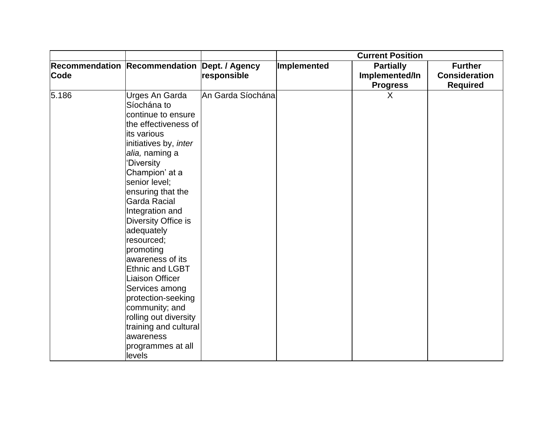|       |                                                                                                                                                                                                                                                                                                                                                                                                                                                                                                                        |                   | <b>Current Position</b> |                                    |                                        |
|-------|------------------------------------------------------------------------------------------------------------------------------------------------------------------------------------------------------------------------------------------------------------------------------------------------------------------------------------------------------------------------------------------------------------------------------------------------------------------------------------------------------------------------|-------------------|-------------------------|------------------------------------|----------------------------------------|
| Code  | Recommendation Recommendation Dept. / Agency                                                                                                                                                                                                                                                                                                                                                                                                                                                                           | responsible       | Implemented             | <b>Partially</b><br>Implemented/In | <b>Further</b><br><b>Consideration</b> |
|       |                                                                                                                                                                                                                                                                                                                                                                                                                                                                                                                        |                   |                         | <b>Progress</b>                    |                                        |
| 5.186 | Urges An Garda<br>Síochána to<br>continue to ensure<br>the effectiveness of<br>its various<br>initiatives by, inter<br>alia, naming a<br>'Diversity<br>Champion' at a<br>senior level;<br>ensuring that the<br><b>Garda Racial</b><br>Integration and<br>Diversity Office is<br>adequately<br>resourced;<br>promoting<br>awareness of its<br><b>Ethnic and LGBT</b><br><b>Liaison Officer</b><br>Services among<br>protection-seeking<br>community; and<br>rolling out diversity<br>training and cultural<br>awareness | An Garda Síochána |                         | X                                  | <b>Required</b>                        |
|       | programmes at all<br>levels                                                                                                                                                                                                                                                                                                                                                                                                                                                                                            |                   |                         |                                    |                                        |